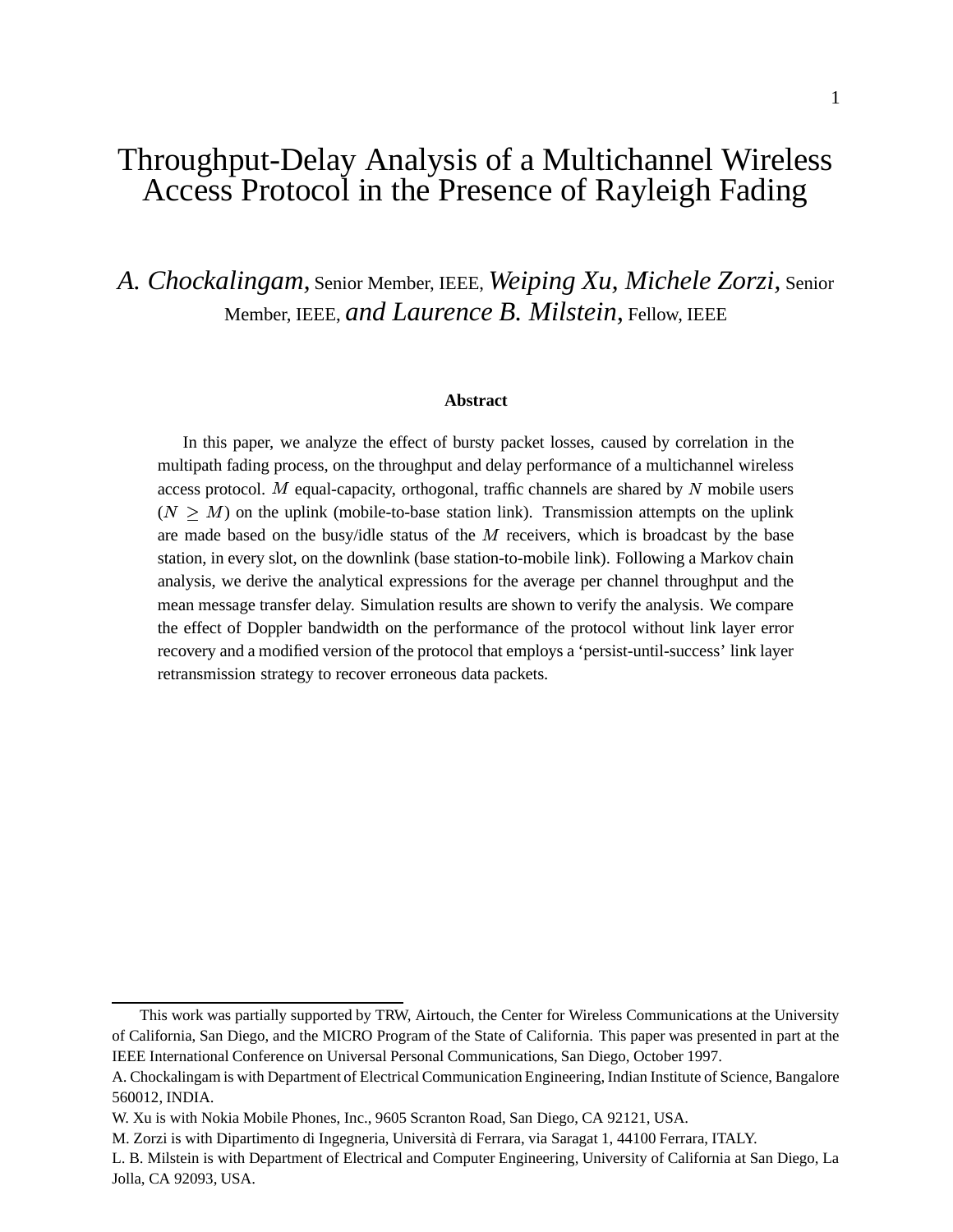# Throughput-Delay Analysis of a Multichannel Wireless Access Protocol in the Presence of Rayleigh Fading

*A. Chockalingam,* Senior Member, IEEE, *Weiping Xu, Michele Zorzi,* Senior Member, IEEE, *and Laurence B. Milstein,* Fellow, IEEE

#### **Abstract**

In this paper, we analyze the effect of bursty packet losses, caused by correlation in the multipath fading process, on the throughput and delay performance of a multichannel wireless access protocol. M equal-capacity, orthogonal, traffic channels are shared by  $N$  mobile users  $(N \geq M)$  on the uplink (mobile-to-base station link). Transmission attempts on the uplink are made based on the busy/idle status of the  $M$  receivers, which is broadcast by the base station, in every slot, on the downlink (base station-to-mobile link). Following a Markov chain analysis, we derive the analytical expressions for the average per channel throughput and the mean message transfer delay. Simulation results are shown to verify the analysis. We compare the effect of Doppler bandwidth on the performance of the protocol without link layer error recovery and a modified version of the protocol that employs a 'persist-until-success' link layer retransmission strategy to recover erroneous data packets.

This work was partially supported by TRW, Airtouch, the Center for Wireless Communications at the University of California, San Diego, and the MICRO Program of the State of California. This paper was presented in part at the IEEE International Conference on Universal Personal Communications, San Diego, October 1997.

A. Chockalingam is with Department of Electrical Communication Engineering, Indian Institute of Science, Bangalore 560012, INDIA.

W. Xu is with Nokia Mobile Phones, Inc., 9605 Scranton Road, San Diego, CA 92121, USA.

M. Zorzi is with Dipartimento di Ingegneria, Universita` di Ferrara, via Saragat 1, 44100 Ferrara, ITALY.

L. B. Milstein is with Department of Electrical and Computer Engineering, University of California at San Diego, La Jolla, CA 92093, USA.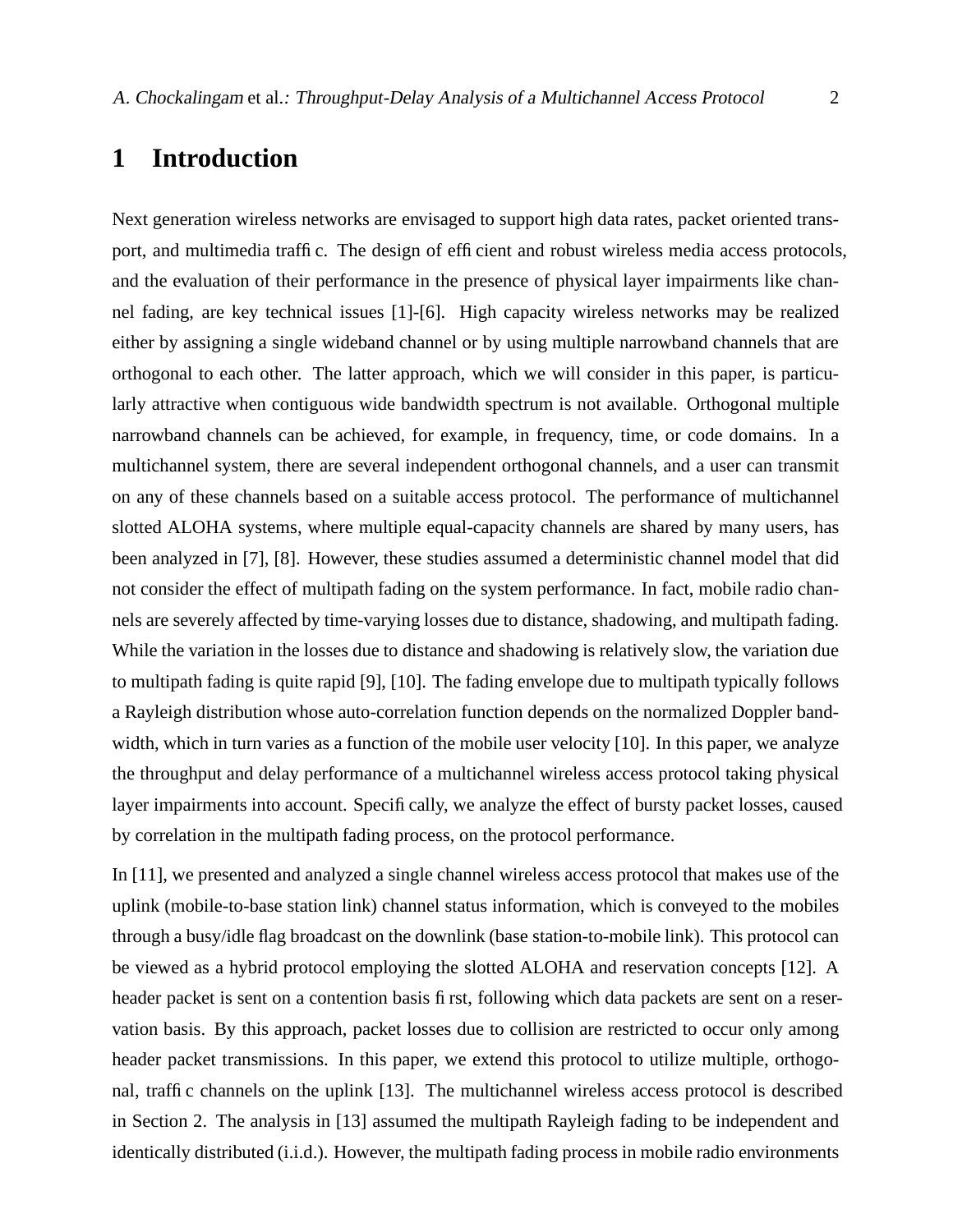## **1 Introduction**

Next generation wireless networks are envisaged to support high data rates, packet oriented transport, and multimedia traffic. The design of efficient and robust wireless media access protocols, and the evaluation of their performance in the presence of physical layer impairments like channel fading, are key technical issues [1]-[6]. High capacity wireless networks may be realized either by assigning a single wideband channel or by using multiple narrowband channels that are orthogonal to each other. The latter approach, which we will consider in this paper, is particularly attractive when contiguous wide bandwidth spectrum is not available. Orthogonal multiple narrowband channels can be achieved, for example, in frequency, time, or code domains. In a multichannel system, there are several independent orthogonal channels, and a user can transmit on any of these channels based on a suitable access protocol. The performance of multichannel slotted ALOHA systems, where multiple equal-capacity channels are shared by many users, has been analyzed in [7], [8]. However, these studies assumed a deterministic channel model that did not consider the effect of multipath fading on the system performance. In fact, mobile radio channels are severely affected by time-varying losses due to distance, shadowing, and multipath fading. While the variation in the losses due to distance and shadowing is relatively slow, the variation due to multipath fading is quite rapid [9], [10]. The fading envelope due to multipath typically follows a Rayleigh distribution whose auto-correlation function depends on the normalized Doppler bandwidth, which in turn varies as a function of the mobile user velocity [10]. In this paper, we analyze the throughput and delay performance of a multichannel wireless access protocol taking physical layer impairments into account. Specifically, we analyze the effect of bursty packet losses, caused by correlation in the multipath fading process, on the protocol performance.

In [11], we presented and analyzed a single channel wireless access protocol that makes use of the uplink (mobile-to-base station link) channel status information, which is conveyed to the mobiles through a busy/idle flag broadcast on the downlink (base station-to-mobile link). This protocol can be viewed as a hybrid protocol employing the slotted ALOHA and reservation concepts [12]. A header packet is sent on a contention basis first, following which data packets are sent on a reservation basis. By this approach, packet losses due to collision are restricted to occur only among header packet transmissions. In this paper, we extend this protocol to utilize multiple, orthogonal, traffic channels on the uplink [13]. The multichannel wireless access protocol is described in Section 2. The analysis in [13] assumed the multipath Rayleigh fading to be independent and identically distributed (i.i.d.). However, the multipath fading process in mobile radio environments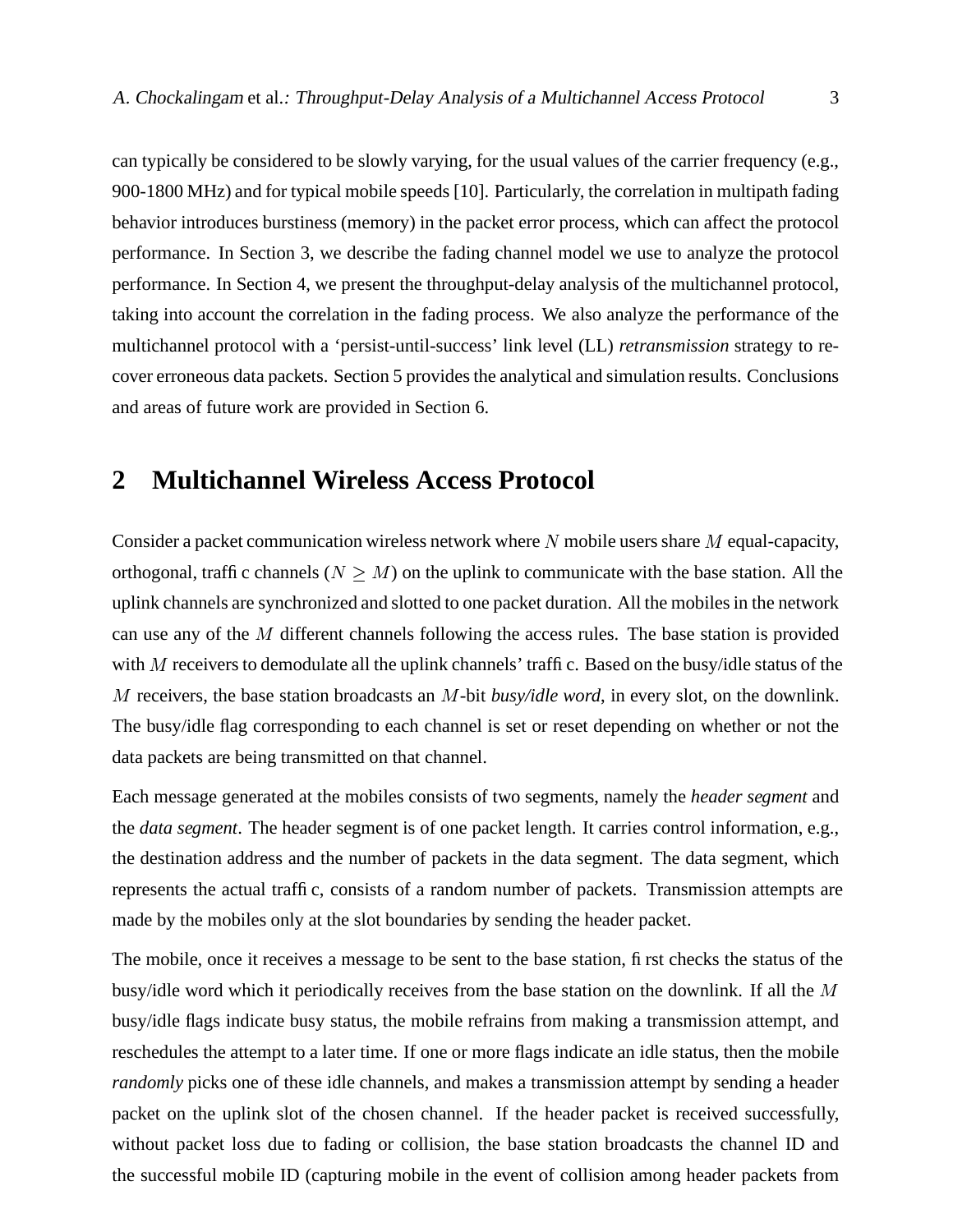can typically be considered to be slowly varying, for the usual values of the carrier frequency (e.g., 900-1800 MHz) and for typical mobile speeds [10]. Particularly, the correlation in multipath fading behavior introduces burstiness (memory) in the packet error process, which can affect the protocol performance. In Section 3, we describe the fading channel model we use to analyze the protocol performance. In Section 4, we present the throughput-delay analysis of the multichannel protocol, taking into account the correlation in the fading process. We also analyze the performance of the multichannel protocol with a 'persist-until-success' link level (LL) *retransmission* strategy to recover erroneous data packets. Section 5 provides the analytical and simulation results. Conclusions and areas of future work are provided in Section 6.

### **2 Multichannel Wireless Access Protocol**

Consider a packet communication wireless network where  $N$  mobile users share  $M$  equal-capacity, orthogonal, traffic channels ( $N \geq M$ ) on the uplink to communicate with the base station. All the uplink channels are synchronized and slotted to one packet duration. All the mobilesin the network can use any of the  $M$  different channels following the access rules. The base station is provided with  $M$  receivers to demodulate all the uplink channels' traffic. Based on the busy/idle status of the M receivers, the base station broadcasts an  $M$ -bit *busy/idle word*, in every slot, on the downlink. The busy/idle flag corresponding to each channel is set or reset depending on whether or not the data packets are being transmitted on that channel.

Each message generated at the mobiles consists of two segments, namely the *header segment* and the *data segment*. The header segment is of one packet length. It carries control information, e.g., the destination address and the number of packets in the data segment. The data segment, which represents the actual traffic, consists of a random number of packets. Transmission attempts are made by the mobiles only at the slot boundaries by sending the header packet.

The mobile, once it receives a message to be sent to the base station, first checks the status of the busy/idle word which it periodically receives from the base station on the downlink. If all the  $M$ busy/idle flags indicate busy status, the mobile refrains from making a transmission attempt, and reschedules the attempt to a later time. If one or more flags indicate an idle status, then the mobile *randomly* picks one of these idle channels, and makes a transmission attempt by sending a header packet on the uplink slot of the chosen channel. If the header packet is received successfully, without packet loss due to fading or collision, the base station broadcasts the channel ID and the successful mobile ID (capturing mobile in the event of collision among header packets from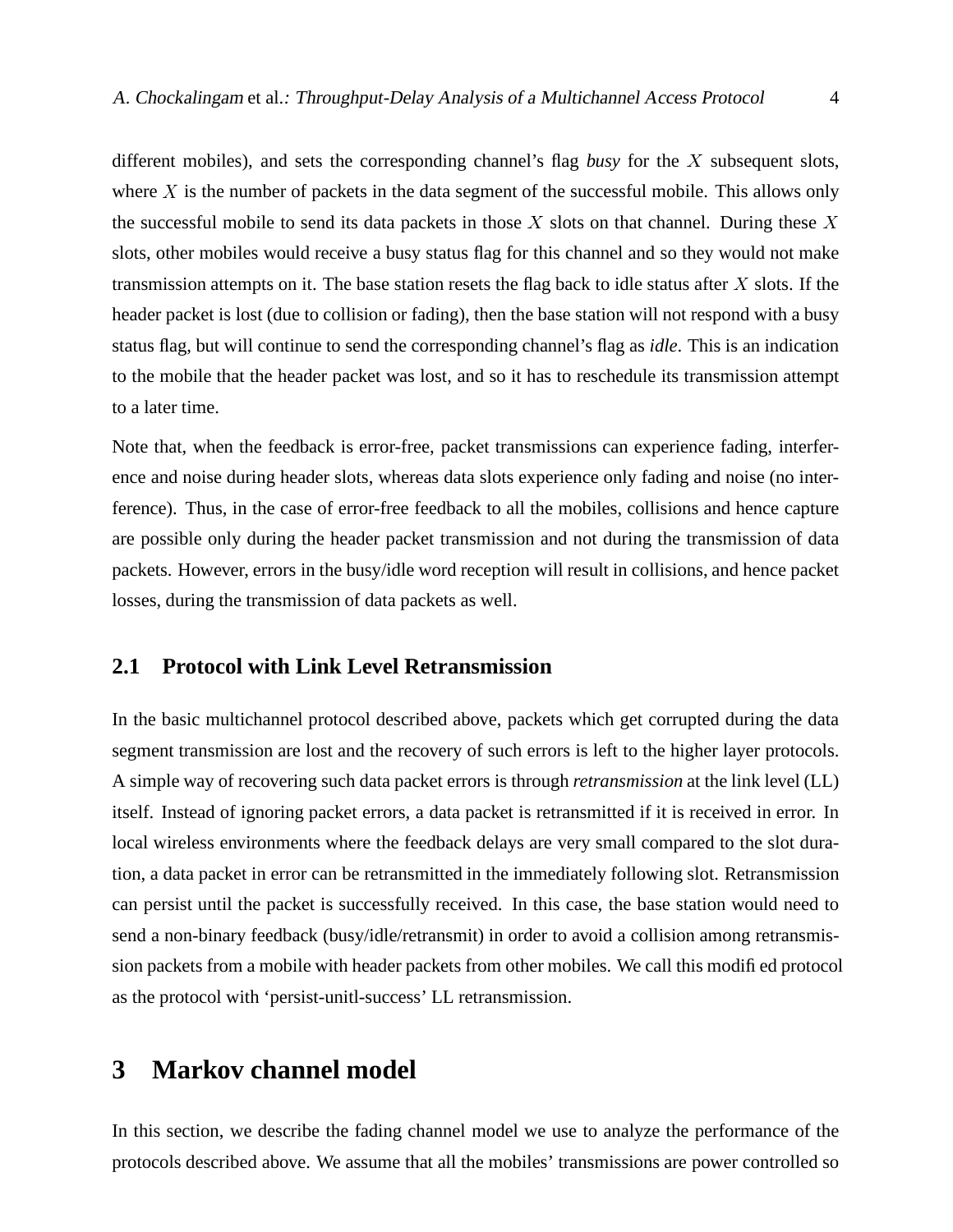different mobiles), and sets the corresponding channel's flag *busy* for the  $X$  subsequent slots, where  $X$  is the number of packets in the data segment of the successful mobile. This allows only the successful mobile to send its data packets in those  $X$  slots on that channel. During these  $X$ slots, other mobiles would receive a busy status flag for this channel and so they would not make transmission attempts on it. The base station resets the flag back to idle status after  $X$  slots. If the header packet is lost (due to collision or fading), then the base station will not respond with a busy status flag, but will continue to send the corresponding channel's flag as *idle*. This is an indication to the mobile that the header packet was lost, and so it has to reschedule its transmission attempt to a later time.

Note that, when the feedback is error-free, packet transmissions can experience fading, interference and noise during header slots, whereas data slots experience only fading and noise (no interference). Thus, in the case of error-free feedback to all the mobiles, collisions and hence capture are possible only during the header packet transmission and not during the transmission of data packets. However, errors in the busy/idle word reception will result in collisions, and hence packet losses, during the transmission of data packets as well.

#### **2.1 Protocol with Link Level Retransmission**

In the basic multichannel protocol described above, packets which get corrupted during the data segment transmission are lost and the recovery of such errors is left to the higher layer protocols. A simple way of recovering such data packet errors is through *retransmission* at the link level (LL) itself. Instead of ignoring packet errors, a data packet is retransmitted if it is received in error. In local wireless environments where the feedback delays are very small compared to the slot duration, a data packet in error can be retransmitted in the immediately following slot. Retransmission can persist until the packet is successfully received. In this case, the base station would need to send a non-binary feedback (busy/idle/retransmit) in order to avoid a collision among retransmission packets from a mobile with header packets from other mobiles. We call this modified protocol as the protocol with 'persist-unitl-success' LL retransmission.

### **3 Markov channel model**

In this section, we describe the fading channel model we use to analyze the performance of the protocols described above. We assume that all the mobiles' transmissions are power controlled so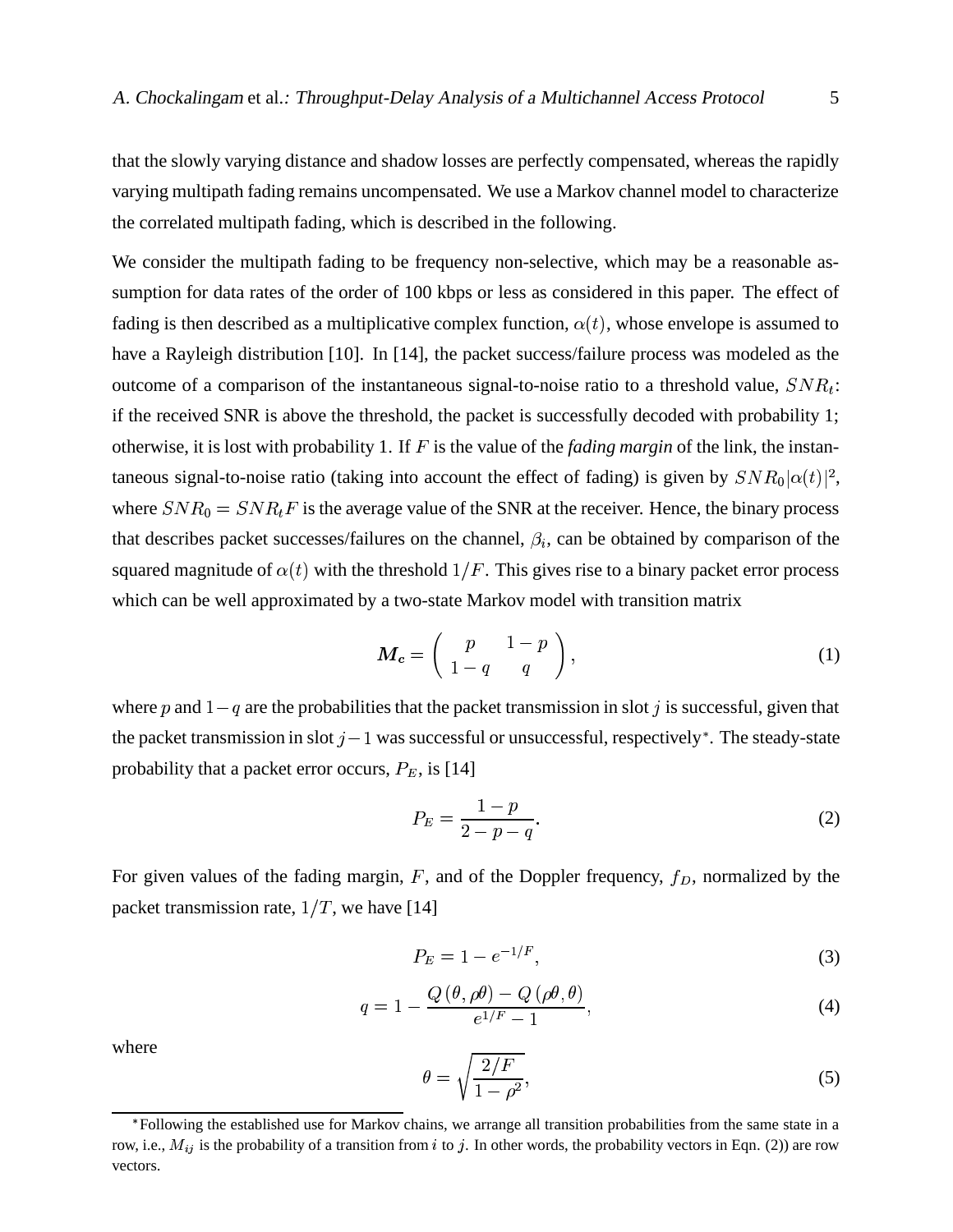that the slowly varying distance and shadow losses are perfectly compensated, whereas the rapidly varying multipath fading remains uncompensated. We use a Markov channel model to characterize the correlated multipath fading, which is described in the following.

We consider the multipath fading to be frequency non-selective, which may be a reasonable assumption for data rates of the order of 100 kbps or less as considered in this paper. The effect of fading is then described as a multiplicative complex function,  $\alpha(t)$ , whose envelope is assumed to have a Rayleigh distribution [10]. In [14], the packet success/failure process was modeled as the outcome of a comparison of the instantaneous signal-to-noise ratio to a threshold value,  $SNR_t$ : if the received SNR is above the threshold, the packet is successfully decoded with probability 1; otherwise, it is lost with probability 1. If  $F$  is the value of the *fading margin* of the link, the instantaneous signal-to-noise ratio (taking into account the effect of fading) is given by  $SNR_0|\alpha(t)|^2$ , where  $SNR_0 = SNR_tF$  is the average value of the SNR at the receiver. Hence, the binary process that describes packet successes/failures on the channel,  $\beta_i$ , can be obtained by comparison of the squared magnitude of  $\alpha(t)$  with the threshold  $1/F$ . This gives rise to a binary packet error process which can be well approximated by a two-state Markov model with transition matrix

$$
\boldsymbol{M_c} = \left( \begin{array}{cc} p & 1-p \\ 1-q & q \end{array} \right),\tag{1}
$$

where p and  $1 - q$  are the probabilities that the packet transmission in slot j is successful, given that the packet transmission in slot  $j-1$  was successful or unsuccessful, respectively\*. The steady-state probability that a packet error occurs,  $P_E$ , is [14]

$$
P_E = \frac{1-p}{2-p-q}.\tag{2}
$$

For given values of the fading margin,  $F$ , and of the Doppler frequency,  $f<sub>D</sub>$ , normalized by the packet transmission rate,  $1/T$ , we have [14]

$$
P_E = 1 - e^{-1/F},\tag{3}
$$

$$
q = 1 - \frac{Q(\theta, \rho\theta) - Q(\rho\theta, \theta)}{e^{1/F} - 1},
$$
\n<sup>(4)</sup>

where

$$
\theta = \sqrt{\frac{2/F}{1 - \rho^2}},\tag{5}
$$

<sup>\*</sup>Following the established use for Markov chains, we arrange all transition probabilities from the same state in a row, i.e.,  $M_{ij}$  is the probability of a transition from i to j. In other words, the probability vectors in Eqn. (2)) are row vectors.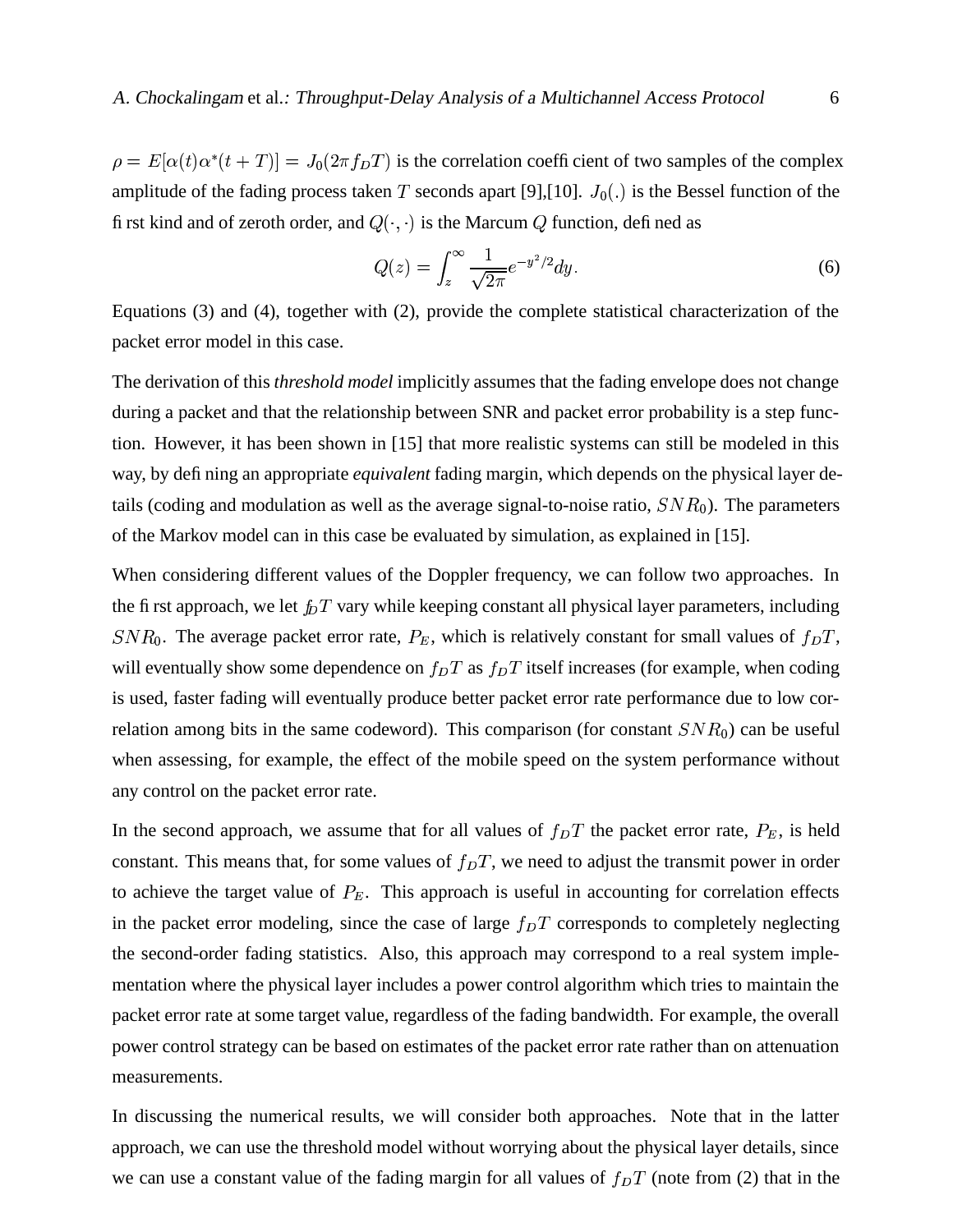$\mathbf{r} = [\mathbf{u}(\mathbf{v}) \mathbf{u}(\mathbf{v}) - \mathbf{v}]$ - . . . . . -  $-11$   $-11$  $[0] = J_0(2\pi f_D T)$  is the correlation coefficient of two samples of the complex amplitude of the fading process taken T seconds apart [9],[10].  $J_0(.)$  is the Bessel function of the first kind and of zeroth order, and  $Q(\cdot, \cdot)$  is the Marcum  $Q$  function, defined as

$$
Q(z) = \int_{z}^{\infty} \frac{1}{\sqrt{2\pi}} e^{-y^2/2} dy.
$$
 (6)

Equations (3) and (4), together with (2), provide the complete statistical characterization of the packet error model in this case.

The derivation of this *threshold model* implicitly assumes that the fading envelope does not change during a packet and that the relationship between SNR and packet error probability is a step function. However, it has been shown in [15] that more realistic systems can still be modeled in this way, by defining an appropriate *equivalent* fading margin, which depends on the physical layer details (coding and modulation as well as the average signal-to-noise ratio,  $SNR<sub>0</sub>$ ). The parameters of the Markov model can in this case be evaluated by simulation, as explained in [15].

When considering different values of the Doppler frequency, we can follow two approaches. In the first approach, we let  $f_D T$  vary while keeping constant all physical layer parameters, including  $SNR_0$ . The average packet error rate,  $P_E$ , which is relatively constant for small values of  $f_D T$ , will eventually show some dependence on  $f_D T$  as  $f_D T$  itself increases (for example, when coding is used, faster fading will eventually produce better packet error rate performance due to low correlation among bits in the same codeword). This comparison (for constant  $SNR_0$ ) can be useful when assessing, for example, the effect of the mobile speed on the system performance without any control on the packet error rate.

In the second approach, we assume that for all values of  $f_D T$  the packet error rate,  $P_E$ , is held constant. This means that, for some values of  $f_D T$ , we need to adjust the transmit power in order to achieve the target value of  $P_E$ . This approach is useful in accounting for correlation effects in the packet error modeling, since the case of large  $f_D T$  corresponds to completely neglecting the second-order fading statistics. Also, this approach may correspond to a real system implementation where the physical layer includes a power control algorithm which tries to maintain the packet error rate at some target value, regardless of the fading bandwidth. For example, the overall power control strategy can be based on estimates of the packet error rate rather than on attenuation measurements.

In discussing the numerical results, we will consider both approaches. Note that in the latter approach, we can use the threshold model without worrying about the physical layer details, since we can use a constant value of the fading margin for all values of  $f_D T$  (note from (2) that in the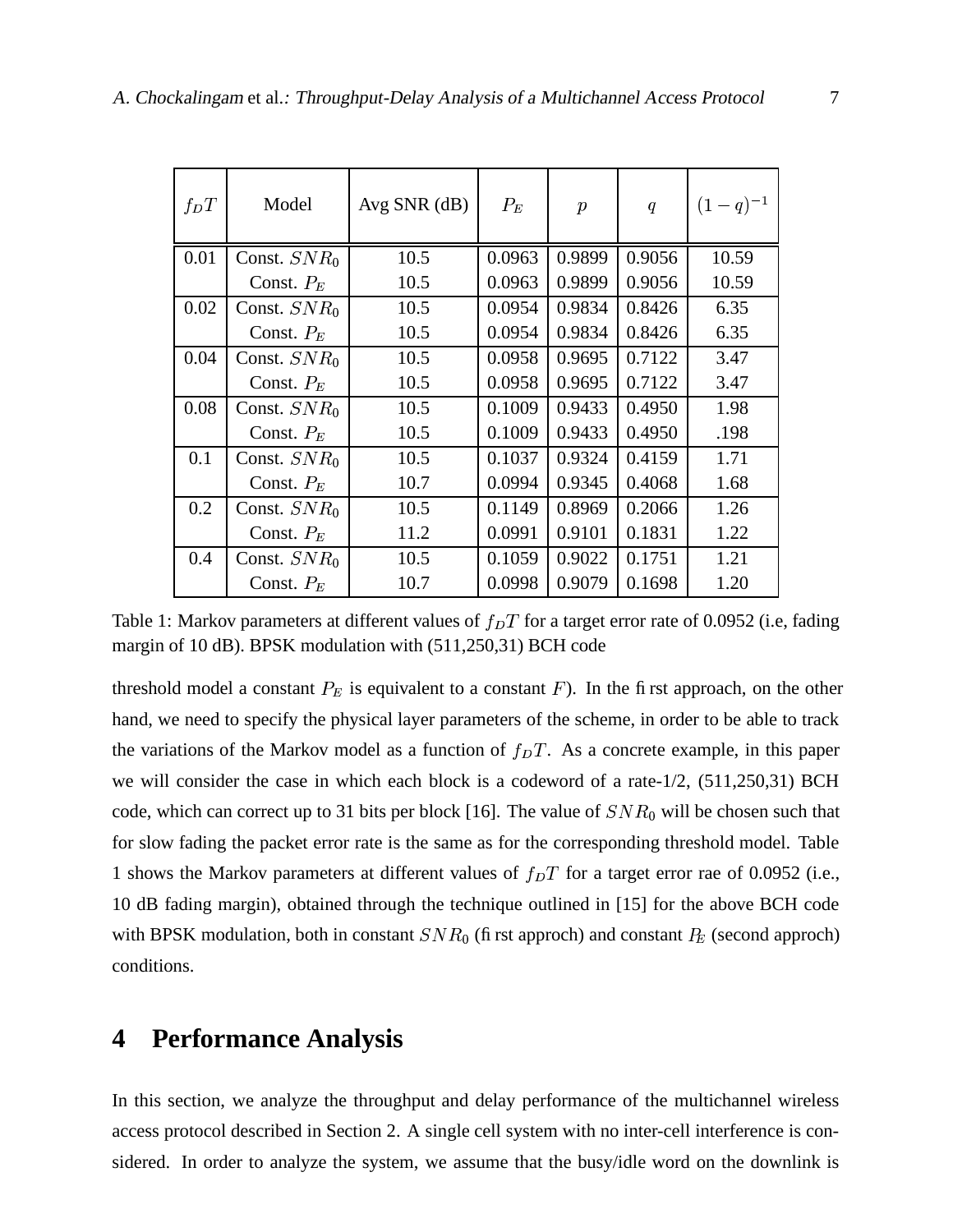| $f_D T$ | Model          | Avg SNR $(dB)$ | $P_E$  | $\boldsymbol{p}$ | q      | $(1-q)^{-1}$ |
|---------|----------------|----------------|--------|------------------|--------|--------------|
| 0.01    | Const. $SNR_0$ | 10.5           | 0.0963 | 0.9899           | 0.9056 | 10.59        |
|         | Const. $P_E$   | 10.5           | 0.0963 | 0.9899           | 0.9056 | 10.59        |
| 0.02    | Const. $SNR_0$ | 10.5           | 0.0954 | 0.9834           | 0.8426 | 6.35         |
|         | Const. $P_E$   | 10.5           | 0.0954 | 0.9834           | 0.8426 | 6.35         |
| 0.04    | Const. $SNR_0$ | 10.5           | 0.0958 | 0.9695           | 0.7122 | 3.47         |
|         | Const. $P_E$   | 10.5           | 0.0958 | 0.9695           | 0.7122 | 3.47         |
| 0.08    | Const. $SNR_0$ | 10.5           | 0.1009 | 0.9433           | 0.4950 | 1.98         |
|         | Const. $P_E$   | 10.5           | 0.1009 | 0.9433           | 0.4950 | .198         |
| 0.1     | Const. $SNR_0$ | 10.5           | 0.1037 | 0.9324           | 0.4159 | 1.71         |
|         | Const. $P_E$   | 10.7           | 0.0994 | 0.9345           | 0.4068 | 1.68         |
| 0.2     | Const. $SNR_0$ | 10.5           | 0.1149 | 0.8969           | 0.2066 | 1.26         |
|         | Const. $P_E$   | 11.2           | 0.0991 | 0.9101           | 0.1831 | 1.22         |
| 0.4     | Const. $SNR_0$ | 10.5           | 0.1059 | 0.9022           | 0.1751 | 1.21         |
|         | Const. $P_E$   | 10.7           | 0.0998 | 0.9079           | 0.1698 | 1.20         |

Table 1: Markov parameters at different values of  $f_D T$  for a target error rate of 0.0952 (i.e, fading margin of 10 dB). BPSK modulation with (511,250,31) BCH code

threshold model a constant  $P_E$  is equivalent to a constant F). In the first approach, on the other hand, we need to specify the physical layer parameters of the scheme, in order to be able to track the variations of the Markov model as a function of  $f<sub>D</sub>T$ . As a concrete example, in this paper we will consider the case in which each block is a codeword of a rate-1/2, (511,250,31) BCH code, which can correct up to 31 bits per block [16]. The value of  $SNR_0$  will be chosen such that for slow fading the packet error rate is the same as for the corresponding threshold model. Table 1 shows the Markov parameters at different values of  $f<sub>D</sub>T$  for a target error rae of 0.0952 (i.e., 10 dB fading margin), obtained through the technique outlined in [15] for the above BCH code with BPSK modulation, both in constant  $SNR_0$  (first approch) and constant  $P_E$  (second approch) conditions.

### **4 Performance Analysis**

In this section, we analyze the throughput and delay performance of the multichannel wireless access protocol described in Section 2. A single cell system with no inter-cell interference is considered. In order to analyze the system, we assume that the busy/idle word on the downlink is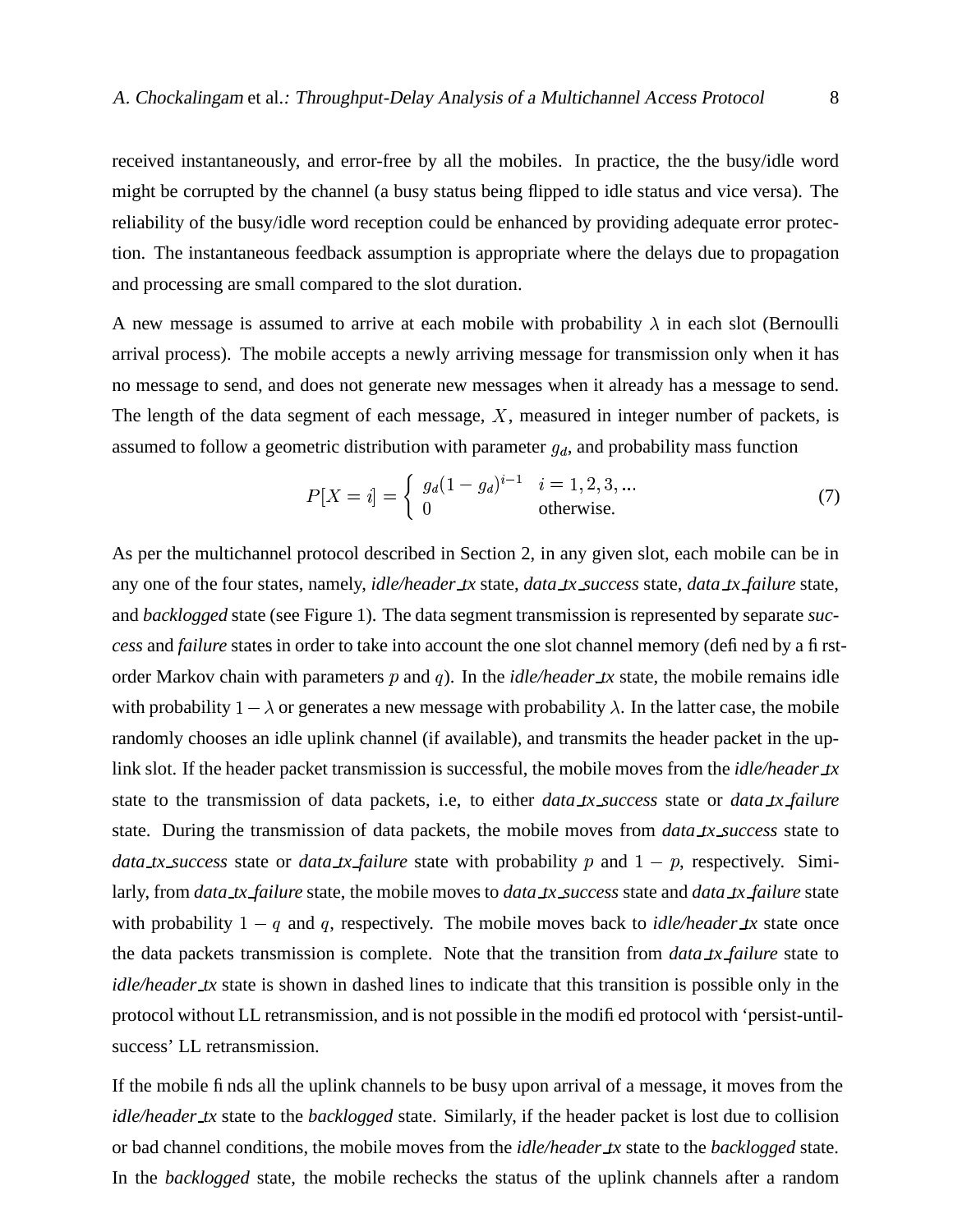received instantaneously, and error-free by all the mobiles. In practice, the the busy/idle word might be corrupted by the channel (a busy status being flipped to idle status and vice versa). The reliability of the busy/idle word reception could be enhanced by providing adequate error protection. The instantaneous feedback assumption is appropriate where the delays due to propagation and processing are small compared to the slot duration.

A new message is assumed to arrive at each mobile with probability  $\lambda$  in each slot (Bernoulli arrival process). The mobile accepts a newly arriving message for transmission only when it has no message to send, and does not generate new messages when it already has a message to send. The length of the data segment of each message,  $X$ , measured in integer number of packets, is assumed to follow a geometric distribution with parameter  $g_d$ , and probability mass function

$$
P[X = i] = \begin{cases} g_d(1 - g_d)^{i-1} & i = 1, 2, 3, ... \\ 0 & \text{otherwise.} \end{cases}
$$
 (7)

As per the multichannel protocol described in Section 2, in any given slot, each mobile can be in any one of the four states, namely, *idle/header tx* state, *data tx success* state, *data tx failure* state, and *backlogged* state (see Figure 1). The data segment transmission is represented by separate *success* and *failure* states in order to take into account the one slot channel memory (defined by a firstorder Markov chain with parameters p and q). In the *idle/header tx* state, the mobile remains idle with probability  $1 - \lambda$  or generates a new message with probability  $\lambda$ . In the latter case, the mobile randomly chooses an idle uplink channel (if available), and transmits the header packet in the uplink slot. If the header packet transmission is successful, the mobile moves from the *idle/header tx* state to the transmission of data packets, i.e, to either *data tx success* state or *data tx failure* state. During the transmission of data packets, the mobile moves from *data tx success* state to *data\_tx\_success* state or *data\_tx\_failure* state with probability  $p$  and  $1 - p$ , respectively. Similarly, from *data tx failure* state, the mobile moves to *data tx success* state and *data tx failure* state with probability  $1 - q$  and q, respectively. The mobile moves back to *idle/header\_tx* state once the data packets transmission is complete. Note that the transition from *data tx failure* state to *idle/header\_tx* state is shown in dashed lines to indicate that this transition is possible only in the protocol without LL retransmission, and is not possible in the modified protocol with 'persist-untilsuccess' LL retransmission.

If the mobile finds all the uplink channels to be busy upon arrival of a message, it moves from the *idle/header tx* state to the *backlogged* state. Similarly, if the header packet is lost due to collision or bad channel conditions, the mobile moves from the *idle/header tx* state to the *backlogged* state. In the *backlogged* state, the mobile rechecks the status of the uplink channels after a random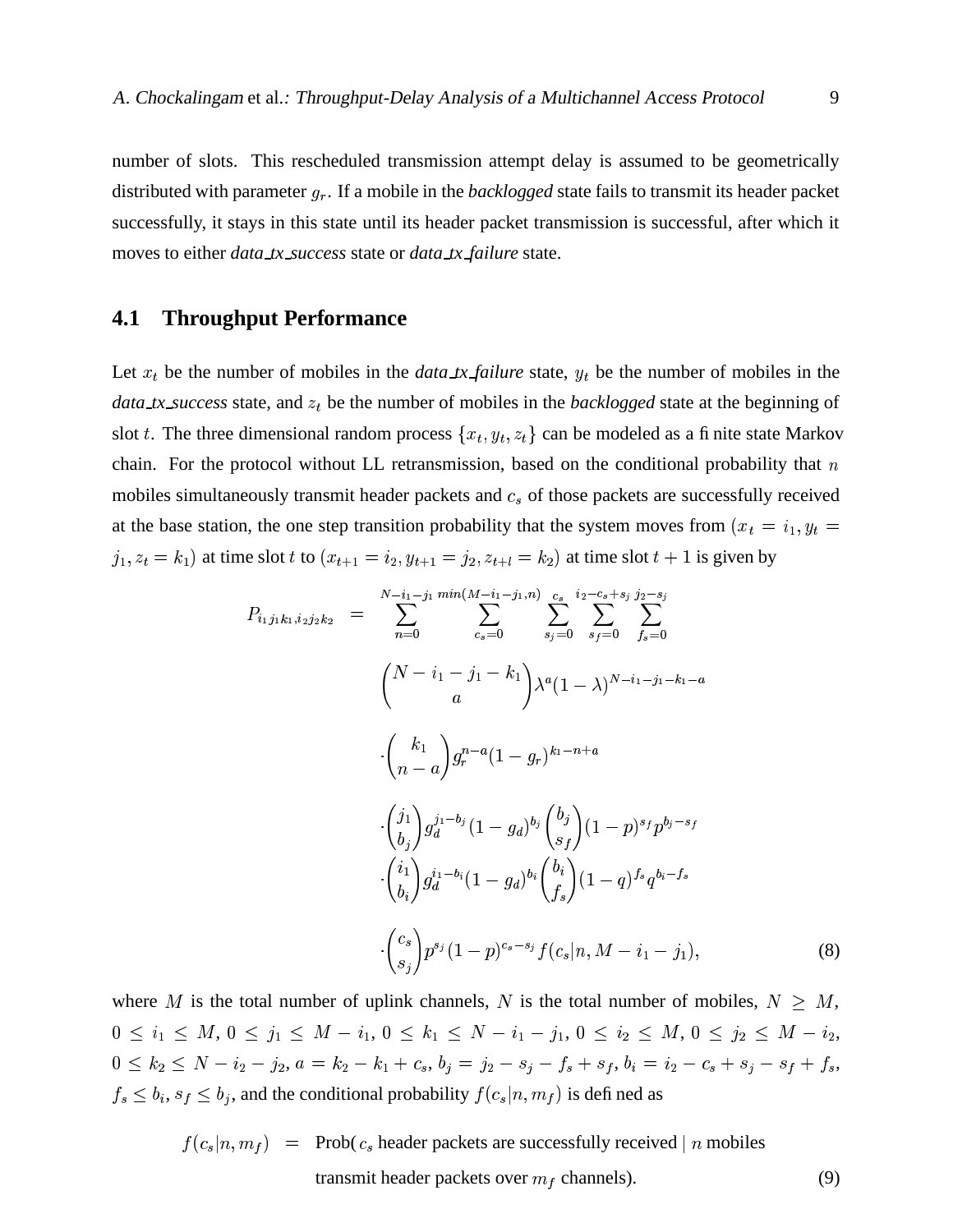number of slots. This rescheduled transmission attempt delay is assumed to be geometrically distributed with parameter  $q_r$ . If a mobile in the *backlogged* state fails to transmit its header packet successfully, it stays in this state until its header packet transmission is successful, after which it moves to either *data tx success* state or *data tx failure* state.

#### **4.1 Throughput Performance**

Let  $x_t$  be the number of mobiles in the *data tx failure* state,  $y_t$  be the number of mobiles in the *data\_tx\_success* state, and  $z_t$  be the number of mobiles in the *backlogged* state at the beginning of slot t. The three dimensional random process  $\{x_t, y_t, z_t\}$  can be modeled as a finite state Markov chain. For the protocol without LL retransmission, based on the conditional probability that  $n$ mobiles simultaneously transmit header packets and  $c_s$  of those packets are successfully received at the base station, the one step transition probability that the system moves from  $(x_t = i_1, y_t =$  $j_1, z_t = k_1$  at time ) at time slot t to  $(x_{t+1} = i_2, y_{t+1} = j_2, z_{t+l} = k_2)$ ) at time slot  $t + 1$  is given by

$$
P_{i_1 j_1 k_1, i_2 j_2 k_2} = \sum_{n=0}^{N-i_1-j_1} \sum_{c_s=0}^{min(M-i_1-j_1, n)} \sum_{s_j=0}^{c_s} \sum_{s_f=0}^{i_2-c_s+s_j} \sum_{f_s=0}^{j_2-s_j}
$$
  

$$
\binom{N-i_1-j_1-k_1}{a} \lambda^a (1-\lambda)^{N-i_1-j_1-k_1-a}
$$
  

$$
\cdot \binom{k_1}{n-a} g_r^{n-a} (1-g_r)^{k_1-n+a}
$$
  

$$
\cdot \binom{j_1}{b_j} g_d^{j_1-b_j} (1-g_d)^{b_j} \binom{b_j}{s_f} (1-p)^{s_f} p^{b_j-s_f}
$$
  

$$
\cdot \binom{i_1}{b_i} g_d^{i_1-b_i} (1-g_d)^{b_i} \binom{b_i}{f_s} (1-q)^{f_s} q^{b_i-f_s}
$$
  

$$
\cdot \binom{c_s}{s_j} p^{s_j} (1-p)^{c_s-s_j} f(c_s | n, M - i_1 - j_1), \qquad (8)
$$

where M is the total number of uplink channels, N is the total number of mobiles,  $N \geq M$ ,  $0 \leq i_1 \leq M, 0 \leq j_1 \leq M - i_1, 0 \leq k_1 \leq N - i_1 - j_1, 0 \leq i_2 \leq M, 0 \leq j_2 \leq M - i_2,$  $0 \leq k_2 \leq N-i_2-j_2, a = k_2-k_1+c_s, b_j = j_2-s_j-f_s+s_f, b_i = i_2-c_s+s_j-s_f+f_s,$  $f_s \leq b_i$ ,  $s_f \leq b_j$ , and the conditional probability  $f(c_s | n, m_f)$  $c_s|n, m_f)$  is defined as

$$
f(c_s|n, m_f) = \text{Prob}(c_s \text{ header packets are successfully received} | n \text{ mobiles} \text{ transmit header packets over } m_f \text{ channels}). \tag{9}
$$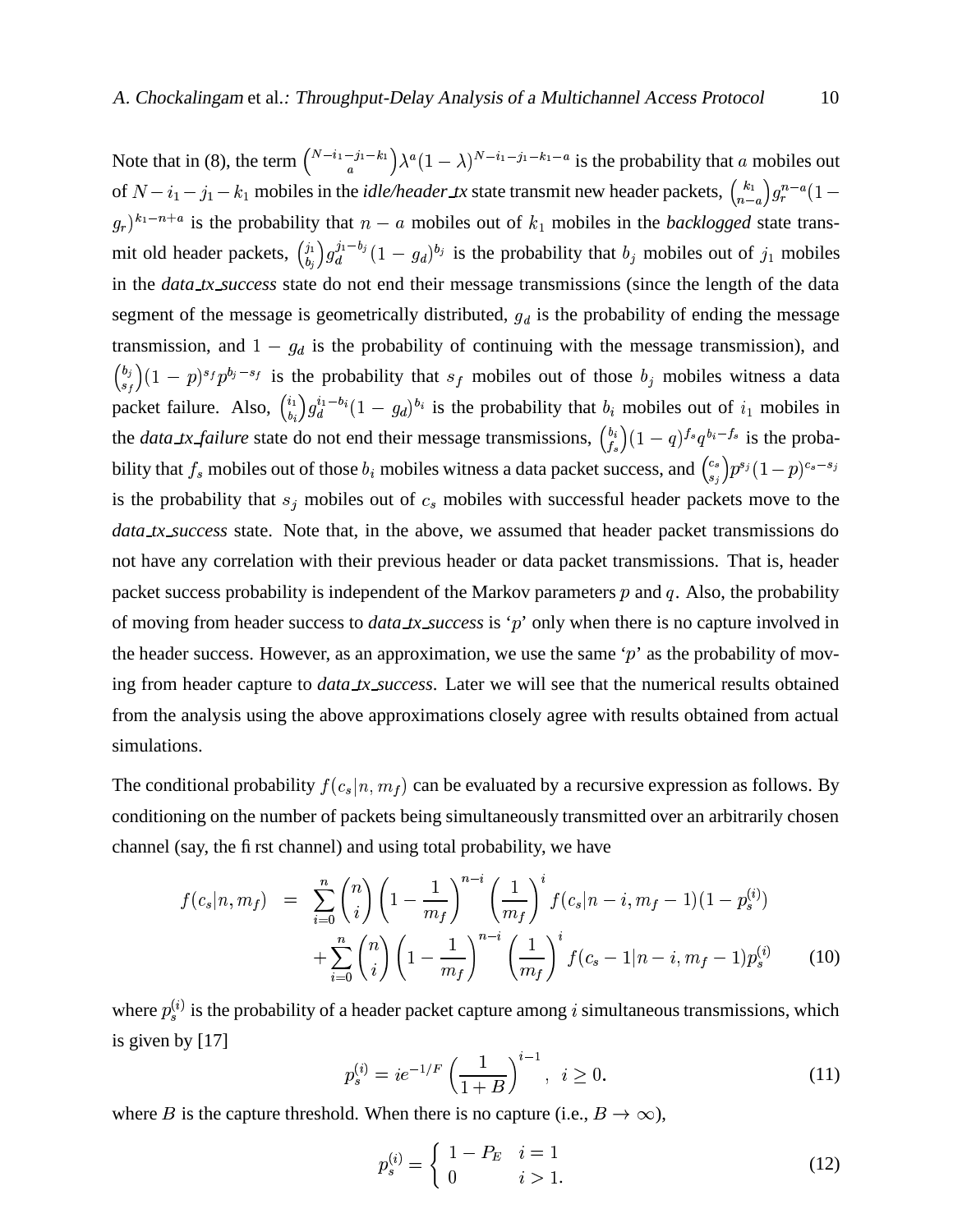Note that in (8), the term  $\binom{N-i_1-j_1-k_1}{a} \lambda^a (1-\lambda)$ the contract of the contract of the contract of the contract of the contract of the contract of the contract of  $\overline{\phantom{a}}$  and  $\overline{\phantom{a}}$  and  $\overline{\phantom{a}}$   $\frac{-i_1 - j_1 - k_1 - a}{i}$  is the probability that a mobiles out of  $N - i_1 - j_1 - k_1$  mobiles in the *idle/header\_tx* state transmit new header packets,  $\binom{k_1}{n-a} g_r^{n-a} (1 \int_{0}^{k_{1}-n+a}$  is the probability that  $n-a$  mobiles out of  $k_{1}$  mobiles in the *backlogged* state transmit old header packets,  $\binom{j_1}{b_1} g_d^{j_1-b_j} (1 - g_d)^{b_j}$  is the probability  $j^{j}$   $J^{j}$   $a$   $\qquad$   $\qquad$   $\qquad$  $\frac{J1 - v_j}{d} (1 -$  - 700 - 1  $b_j$  is the probability that  $b_j$  mobiles out of  $j_1$  mobiles in the *data tx success* state do not end their message transmissions (since the length of the data segment of the message is geometrically distributed,  $g_d$  is the probability of ending the message transmission, and  $1 - g_d$  is the probability of continuing with the message transmission), and  $\binom{b_j}{s_f}(1$ packet failure. Also,  $\binom{i_1}{b_i} g_d^{i_1-b_i} (1 \mathcal{L}$  . The contract of the contract of the contract of the contract of the contract of the contract of the contract of the contract of the contract of the contract of the contract of the contract of the contract of th — *материал —* — материал — материал — материал — материал — материал — материал — материал — материал — материал — ма  $p)^{s_f} p^{b_j - s_f}$  is the probability that  $s_f$  mobiles out of those  $b_j$  mobiles witness a data  $\frac{b_1-b_i}{d}(1-g_d)^{b_i}$  is the probability that  $b_i$  mobiles out of  $i_1$  mobiles in the *data\_tx\_failure* state do not end their message transmissions,  $\binom{b_i}{f} (1-q)^{f_s} q^{b_i-f_s}$  is the probability that  $f_s$  mobiles out of those  $b_i$  mobiles witness a data packet success, and  ${c_s \choose s} p^{s_j}$  ${s_s \choose s_j} p^{s_j} (1-p)^{c_s-s_j}$  $\mathbf{A} \times \mathbf{B}$   $\mathbf{A} \times \mathbf{B}$  $-s_j$ is the probability that  $s_i$  mobiles out of  $c_s$  mobiles with successful header packets move to the *data tx success* state. Note that, in the above, we assumed that header packet transmissions do not have any correlation with their previous header or data packet transmissions. That is, header packet success probability is independent of the Markov parameters  $p$  and  $q$ . Also, the probability of moving from header success to *data tx\_success* is 'p' only when there is no capture involved in the header success. However, as an approximation, we use the same ' $p$ ' as the probability of moving from header capture to *data tx success*. Later we will see that the numerical results obtained from the analysis using the above approximations closely agree with results obtained from actual simulations.

The conditional probability  $f(c_s|n, m_f)$  $c_s|n, m_f)$  can be evaluated by a recursive expression as follows. By conditioning on the number of packets being simultaneously transmitted over an arbitrarily chosen channel (say, the first channel) and using total probability, we have

$$
f(c_s|n, m_f) = \sum_{i=0}^n {n \choose i} \left(1 - \frac{1}{m_f}\right)^{n-i} \left(\frac{1}{m_f}\right)^i f(c_s|n - i, m_f - 1)(1 - p_s^{(i)}) + \sum_{i=0}^n {n \choose i} \left(1 - \frac{1}{m_f}\right)^{n-i} \left(\frac{1}{m_f}\right)^i f(c_s - 1|n - i, m_f - 1)p_s^{(i)} \tag{10}
$$

where  $p_s^{(i)}$  is the probability of a header packet capture among i simultaneous transmissions, which is given by [17]

$$
p_s^{(i)} = ie^{-1/F} \left(\frac{1}{1+B}\right)^{i-1}, \ i \ge 0. \tag{11}
$$

where B is the capture threshold. When there is no capture (i.e.,  $B \to \infty$ ),

$$
p_s^{(i)} = \begin{cases} 1 - P_E & i = 1 \\ 0 & i > 1. \end{cases}
$$
 (12)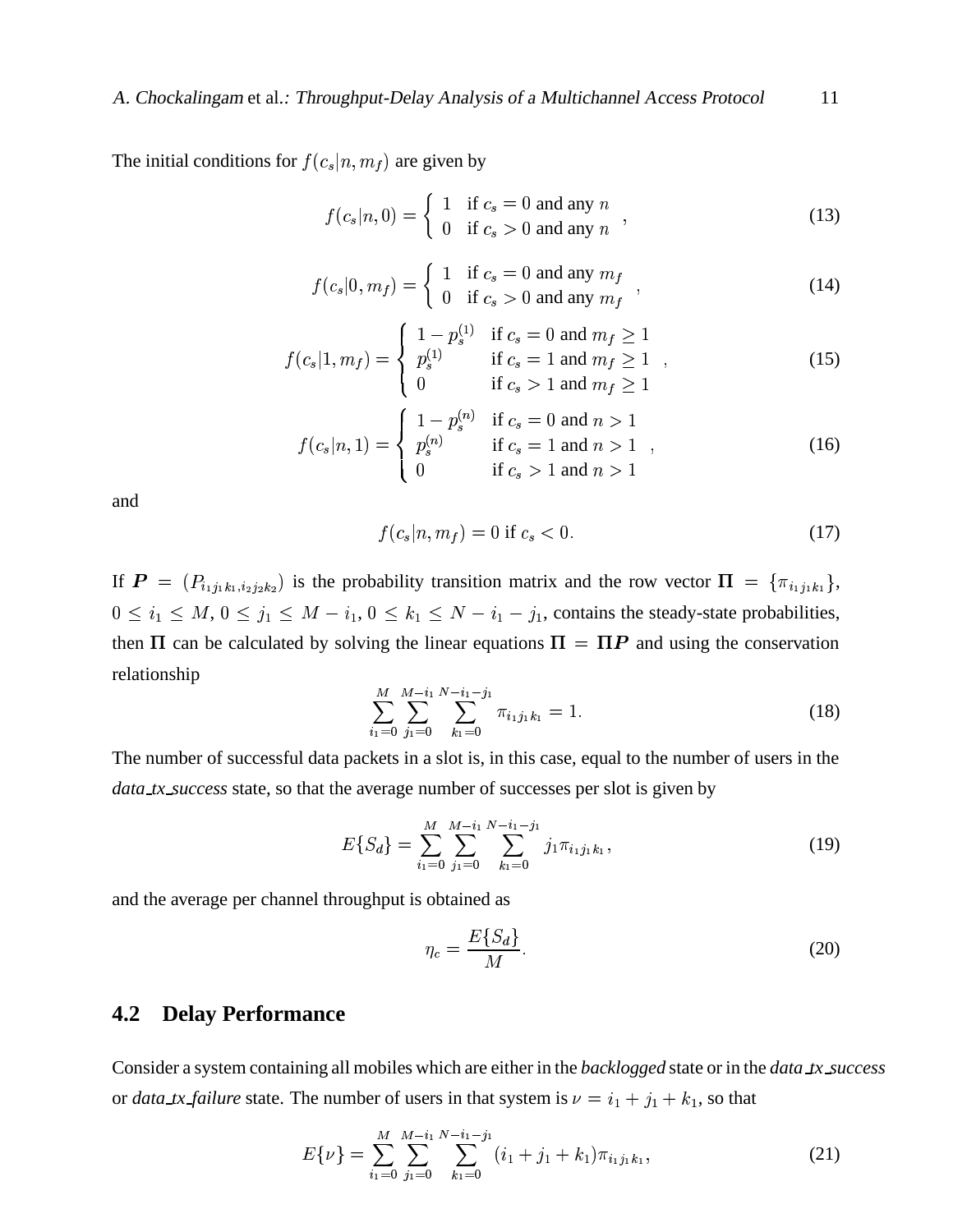The initial conditions for  $f(c_s|n, m_f)$  $c_s|n, m_f)$  are given by

$$
f(c_s|n,0) = \begin{cases} 1 & \text{if } c_s = 0 \text{ and any } n \\ 0 & \text{if } c_s > 0 \text{ and any } n \end{cases}
$$
 (13)

$$
f(c_s|0, m_f) = \begin{cases} 1 & \text{if } c_s = 0 \text{ and any } m_f \\ 0 & \text{if } c_s > 0 \text{ and any } m_f \end{cases}
$$
 (14)

$$
f(c_s|1, m_f) = \begin{cases} 1 - p_s^{(1)} & \text{if } c_s = 0 \text{ and } m_f \ge 1\\ p_s^{(1)} & \text{if } c_s = 1 \text{ and } m_f \ge 1\\ 0 & \text{if } c_s > 1 \text{ and } m_f \ge 1 \end{cases}
$$
 (15)

$$
f(c_s|n, 1) = \begin{cases} 1 - p_s^{(n)} & \text{if } c_s = 0 \text{ and } n > 1 \\ p_s^{(n)} & \text{if } c_s = 1 \text{ and } n > 1 \\ 0 & \text{if } c_s > 1 \text{ and } n > 1 \end{cases}
$$
 (16)

and

$$
f(c_s|n, m_f) = 0 \text{ if } c_s < 0. \tag{17}
$$

If  $P = (P_{i_1j_1k_1,i_2j_2k_2})$  $2J2\kappa_{2}$ ,  $0 \leq i_1 \leq M, 0 \leq j_1 \leq M - i_1, 0 \leq k_1 \leq N - i_1 - j_1$ , contains the steady-state probabilities, ) is the probability transition matrix and the row vector  $\Pi = {\pi_{i_1 j_1 k_1}},$ then  $\Pi$  can be calculated by solving the linear equations  $\Pi = \Pi P$  and using the conservation relationship

$$
\sum_{i_1=0}^{M} \sum_{j_1=0}^{M-i_1} \sum_{k_1=0}^{N-i_1-j_1} \pi_{i_1j_1k_1} = 1.
$$
 (18)

The number of successful data packets in a slot is, in this case, equal to the number of users in the *data tx success* state, so that the average number of successes per slot is given by

$$
E\{S_d\} = \sum_{i_1=0}^{M} \sum_{j_1=0}^{M-i_1} \sum_{k_1=0}^{N-i_1-j_1} j_1 \pi_{i_1 j_1 k_1},
$$
\n(19)

and the average per channel throughput is obtained as

$$
\eta_c = \frac{E\{S_d\}}{M}.\tag{20}
$$

#### **4.2 Delay Performance**

Consider a system containing all mobiles which are either in the *backlogged* state or in the *data tx success* or *data tx failure* state. The number of users in that system is  $\nu = i_1 + j_1 + k_1$ , so that

$$
E\{\nu\} = \sum_{i_1=0}^{M} \sum_{j_1=0}^{M-i_1} \sum_{k_1=0}^{N-i_1-j_1} (i_1 + j_1 + k_1) \pi_{i_1 j_1 k_1},
$$
\n(21)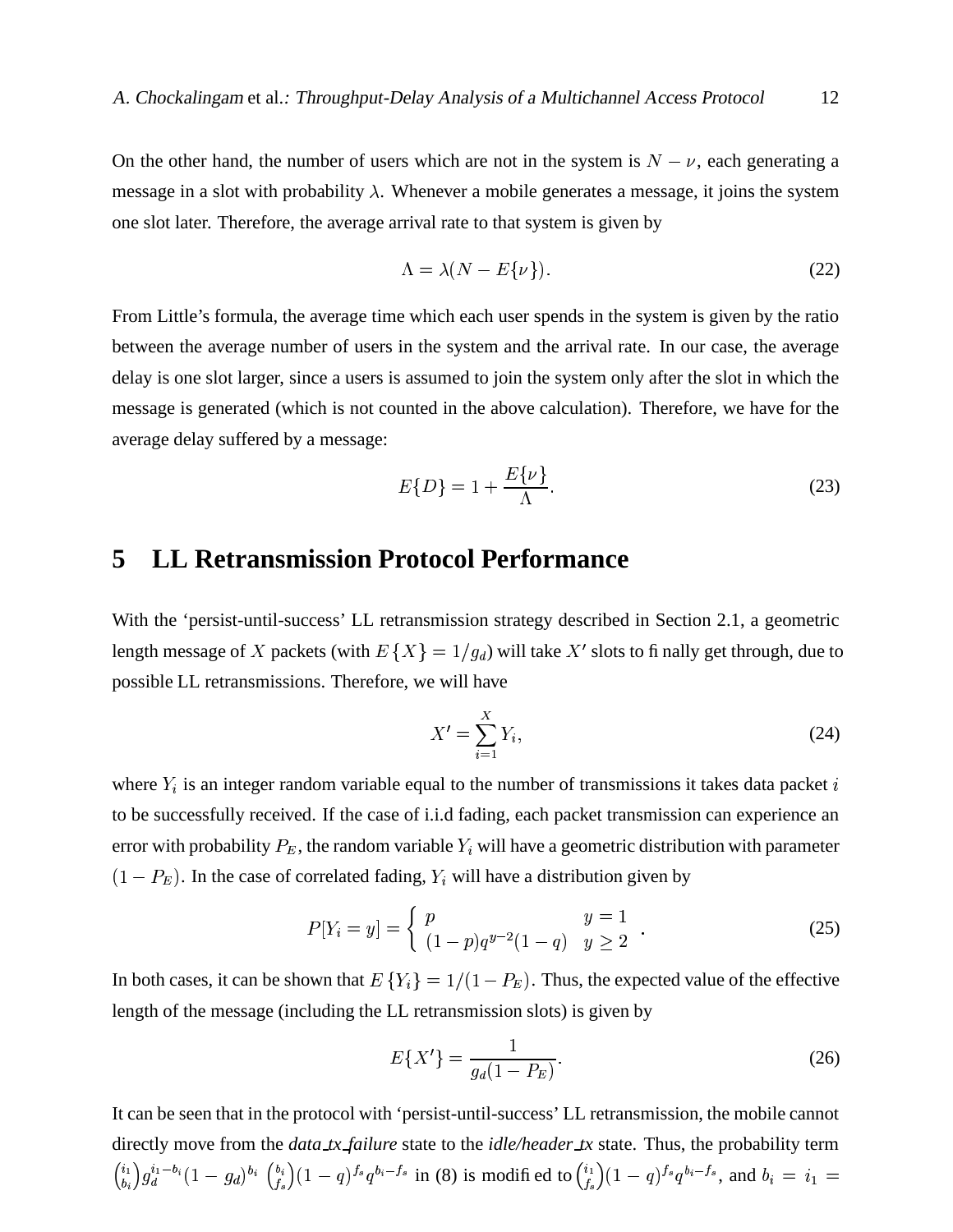On the other hand, the number of users which are not in the system is  $N - \nu$ , each generating a message in a slot with probability  $\lambda$ . Whenever a mobile generates a message, it joins the system one slot later. Therefore, the average arrival rate to that system is given by

$$
\Lambda = \lambda (N - E\{\nu\}).\tag{22}
$$

From Little's formula, the average time which each user spends in the system is given by the ratio between the average number of users in the system and the arrival rate. In our case, the average delay is one slot larger, since a users is assumed to join the system only after the slot in which the message is generated (which is not counted in the above calculation). Therefore, we have for the average delay suffered by a message:

$$
E\{D\} = 1 + \frac{E\{\nu\}}{\Lambda}.\tag{23}
$$

### **5 LL Retransmission Protocol Performance**

With the 'persist-until-success' LL retransmission strategy described in Section 2.1, a geometric length message of X packets (with  $E\{X\} = 1/g_d$ ) will take X' slots to finally get through, due to possible LL retransmissions. Therefore, we will have

$$
X' = \sum_{i=1}^{X} Y_i,
$$
 (24)

where  $Y_i$  is an integer random variable equal to the number of transmissions it takes data packet i to be successfully received. If the case of i.i.d fading, each packet transmission can experience an error with probability  $P_E$ , the random variable  $Y_i$  will have a geometric distribution with parameter &%612 ). In the case of correlated fading,  $Y_i$  will have a distribution given by

$$
P[Y_i = y] = \begin{cases} p & y = 1\\ (1-p)q^{y-2}(1-q) & y \ge 2 \end{cases}
$$
 (25)

In both cases, it can be shown that  $E\{Y_i\} = 1/(1 - P_E)$ . Thus, the expected value of the effective length of the message (including the LL retransmission slots) is given by

$$
E\{X'\} = \frac{1}{g_d(1 - P_E)}.\tag{26}
$$

It can be seen that in the protocol with 'persist-until-success' LL retransmission, the mobile cannot directly move from the *data tx failure* state to the *idle/header tx* state. Thus, the probability term  $\binom{t_1}{b_i} g_d^{t_1 - b_i} (1 - 1)$  $\frac{a_1-b_i}{d}(1-g_d)^{b_i}$   $\binom{b_i}{f}(1-f_d)$  $e^{b_i} \binom{b_i}{f} (1-q)^{f_s} q^{b_i-f_s}$  in (8) is modified to  $\binom{i_1}{f} (1-q)^{f_s}$  $(1 - q)^{f_s} q^{b_i - f_s}$ , and  $b_i = i_1 =$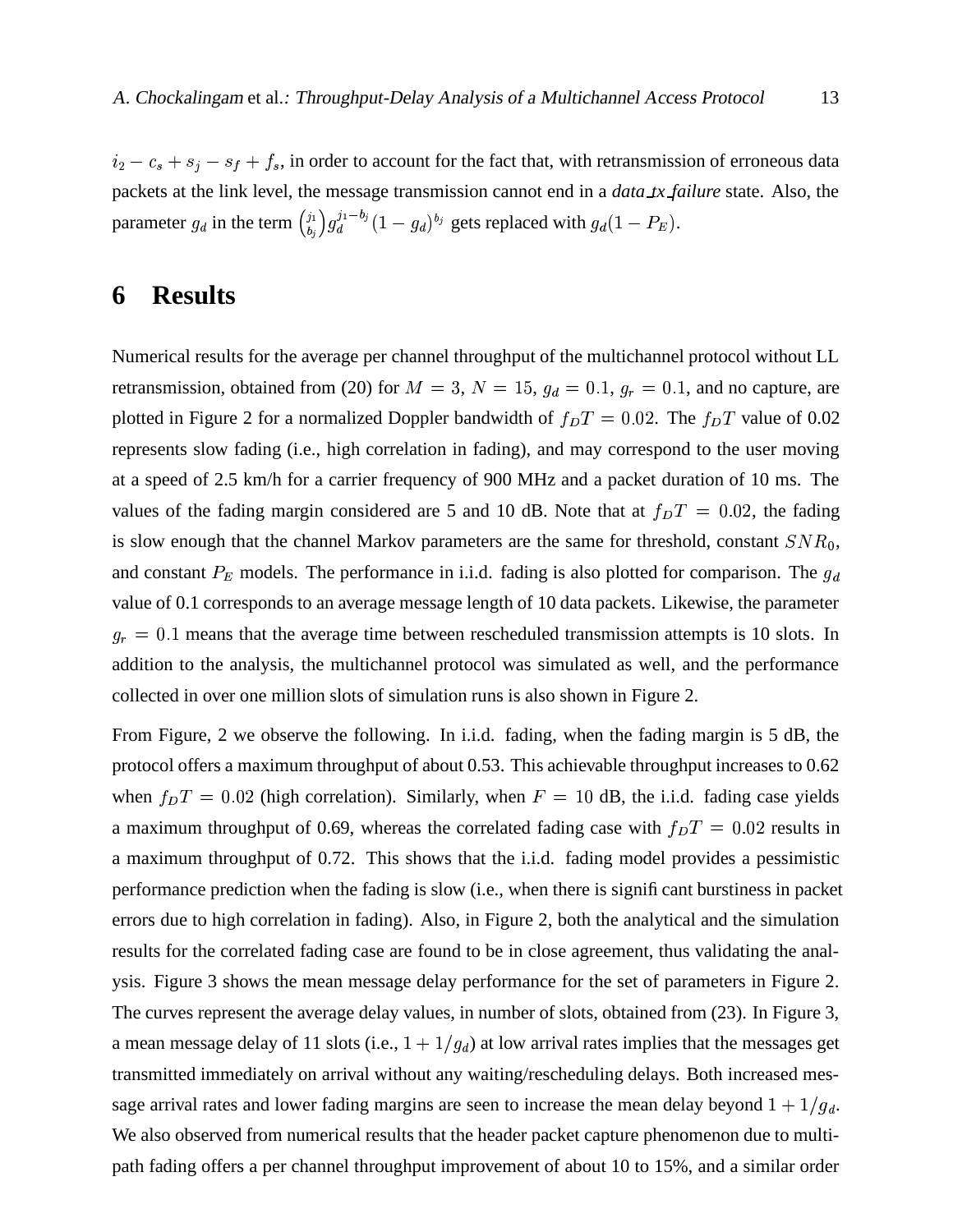$i_2 - c_s + s_j - s_f + f_s$ , in order to account for the fact that, with retransmission of erroneous data packets at the link level, the message transmission cannot end in a *data tx failure* state. Also, the parameter  $g_d$  in the term  $\binom{J_1}{b} g_d^{J_1-j}$  $j^{j}$   $J^{j}$   $a$   $\qquad$   $\qquad$  $\frac{J_1 - v_j}{d} (1 \mathcal{L}$  . The contract of the contract of the contract of the contract of the contract of the contract of the contract of the contract of the contract of the contract of the contract of the contract of the contract of th  $(1-g_d)^{b_j}$  gets replaced with  $g_d(1-P_d)$  $(1 - P_E).$ 

### **6 Results**

Numerical results for the average per channel throughput of the multichannel protocol without LL retransmission, obtained from (20) for  $M = 3$ ,  $N = 15$ ,  $g_d = 0.1$ ,  $g_r = 0.1$ , and no capture, are plotted in Figure 2 for a normalized Doppler bandwidth of  $f_D T = 0.02$ . The  $f_D T$  value of 0.02 represents slow fading (i.e., high correlation in fading), and may correspond to the user moving at a speed of 2.5 km/h for a carrier frequency of 900 MHz and a packet duration of 10 ms. The values of the fading margin considered are 5 and 10 dB. Note that at  $f_D T = 0.02$ , the fading is slow enough that the channel Markov parameters are the same for threshold, constant  $SNR_0$ , and constant  $P_E$  models. The performance in i.i.d. fading is also plotted for comparison. The  $q_d$ value of 0.1 corresponds to an average message length of 10 data packets. Likewise, the parameter  $g_r = 0.1$  means that the average time between rescheduled transmission attempts is 10 slots. In addition to the analysis, the multichannel protocol was simulated as well, and the performance collected in over one million slots of simulation runs is also shown in Figure 2.

From Figure, 2 we observe the following. In i.i.d. fading, when the fading margin is 5 dB, the protocol offers a maximum throughput of about 0.53. This achievable throughput increases to 0.62 when  $f_D T = 0.02$  (high correlation). Similarly, when  $F = 10$  dB, the i.i.d. fading case yields a maximum throughput of 0.69, whereas the correlated fading case with  $f_D T = 0.02$  results in a maximum throughput of 0.72. This shows that the i.i.d. fading model provides a pessimistic performance prediction when the fading is slow (i.e., when there is significant burstiness in packet errors due to high correlation in fading). Also, in Figure 2, both the analytical and the simulation results for the correlated fading case are found to be in close agreement, thus validating the analysis. Figure 3 shows the mean message delay performance for the set of parameters in Figure 2. The curves represent the average delay values, in number of slots, obtained from (23). In Figure 3, a mean message delay of 11 slots (i.e.,  $1 + 1/g_d$ ) at low arrival rates implies that the messages get transmitted immediately on arrival without any waiting/rescheduling delays. Both increased message arrival rates and lower fading margins are seen to increase the mean delay beyond  $1 + 1/g_d$ . We also observed from numerical results that the header packet capture phenomenon due to multipath fading offers a per channel throughput improvement of about 10 to 15%, and a similar order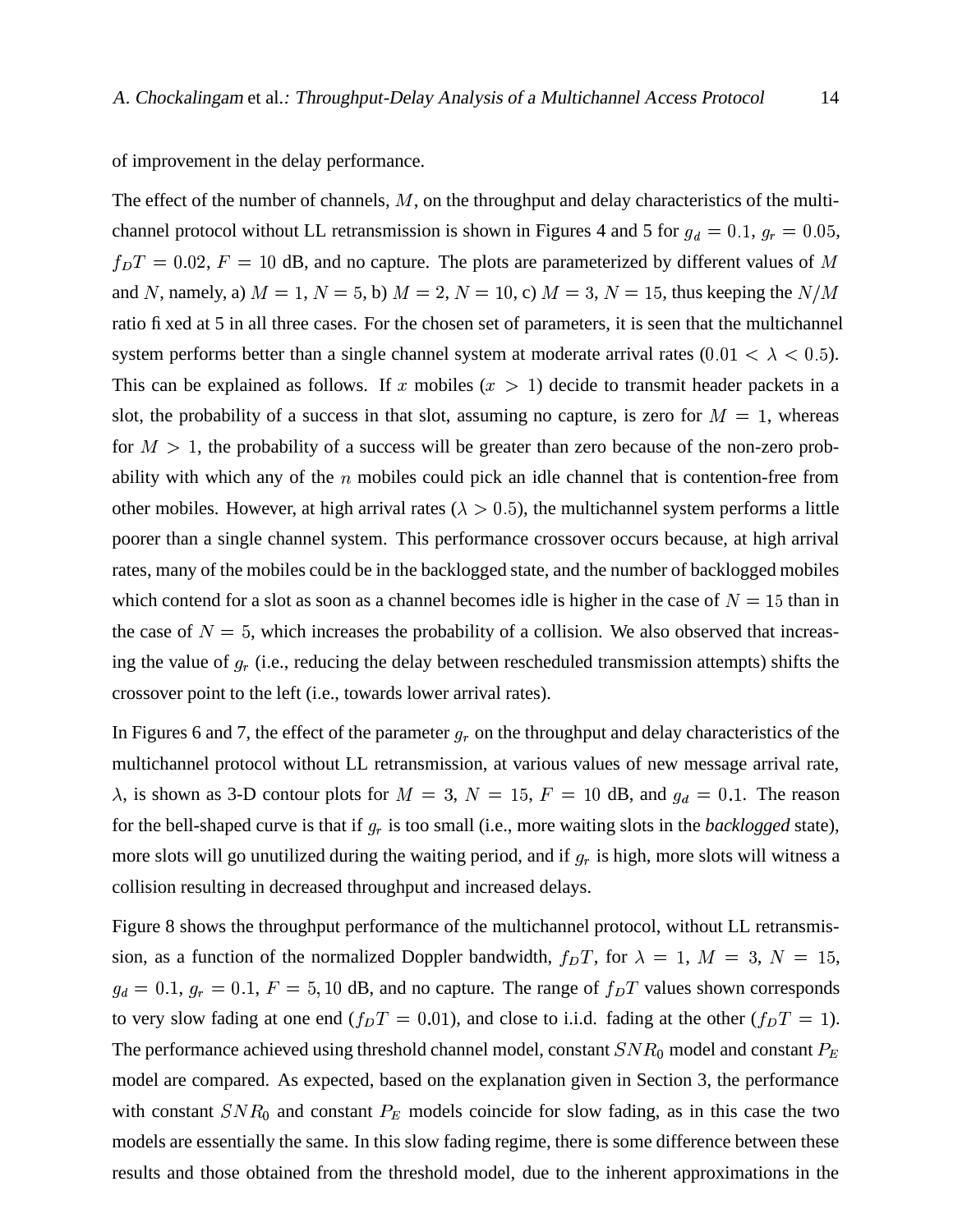of improvement in the delay performance.

The effect of the number of channels,  $M$ , on the throughput and delay characteristics of the multichannel protocol without LL retransmission is shown in Figures 4 and 5 for  $g_d = 0.1$ ,  $g_r = 0.05$ ,  $f_D T = 0.02, F = 10$  dB, and no capture. The plots are parameterized by different values of M and N, namely, a)  $M = 1, N = 5, b$   $M = 2, N = 10, c$   $M = 3, N = 15$ , thus keeping the  $N/M$ ratio fixed at 5 in all three cases. For the chosen set of parameters, it is seen that the multichannel system performs better than a single channel system at moderate arrival rates  $(0.01 < \lambda < 0.5)$ . This can be explained as follows. If x mobiles  $(x > 1)$  decide to transmit header packets in a slot, the probability of a success in that slot, assuming no capture, is zero for  $M = 1$ , whereas for  $M > 1$ , the probability of a success will be greater than zero because of the non-zero probability with which any of the  $n$  mobiles could pick an idle channel that is contention-free from other mobiles. However, at high arrival rates ( $\lambda > 0.5$ ), the multichannel system performs a little poorer than a single channel system. This performance crossover occurs because, at high arrival rates, many of the mobiles could be in the backlogged state, and the number of backlogged mobiles which contend for a slot as soon as a channel becomes idle is higher in the case of  $N = 15$  than in the case of  $N = 5$ , which increases the probability of a collision. We also observed that increasing the value of  $g_r$  (i.e., reducing the delay between rescheduled transmission attempts) shifts the crossover point to the left (i.e., towards lower arrival rates).

In Figures 6 and 7, the effect of the parameter  $g_r$  on the throughput and delay characteristics of the multichannel protocol without LL retransmission, at various values of new message arrival rate,  $\lambda$ , is shown as 3-D contour plots for  $M = 3$ ,  $N = 15$ ,  $F = 10$  dB, and  $g_d = 0.1$ . The reason for the bell-shaped curve is that if  $g_r$  is too small (i.e., more waiting slots in the *backlogged* state), more slots will go unutilized during the waiting period, and if  $g_r$  is high, more slots will witness a collision resulting in decreased throughput and increased delays.

Figure 8 shows the throughput performance of the multichannel protocol, without LL retransmission, as a function of the normalized Doppler bandwidth,  $f_D T$ , for  $\lambda = 1$ ,  $M = 3$ ,  $N = 15$ ,  $g_d = 0.1$ ,  $g_r = 0.1$ ,  $F = 5, 10$  dB, and no capture. The range of  $f_pT$  values shown corresponds to very slow fading at one end  $(f_D T = 0.01)$ , and close to i.i.d. fading at the other  $(f_D T = 1)$ . The performance achieved using threshold channel model, constant  $SNR_0$  model and constant  $P_E$ model are compared. As expected, based on the explanation given in Section 3, the performance with constant  $SNR_0$  and constant  $P_E$  models coincide for slow fading, as in this case the two models are essentially the same. In this slow fading regime, there is some difference between these results and those obtained from the threshold model, due to the inherent approximations in the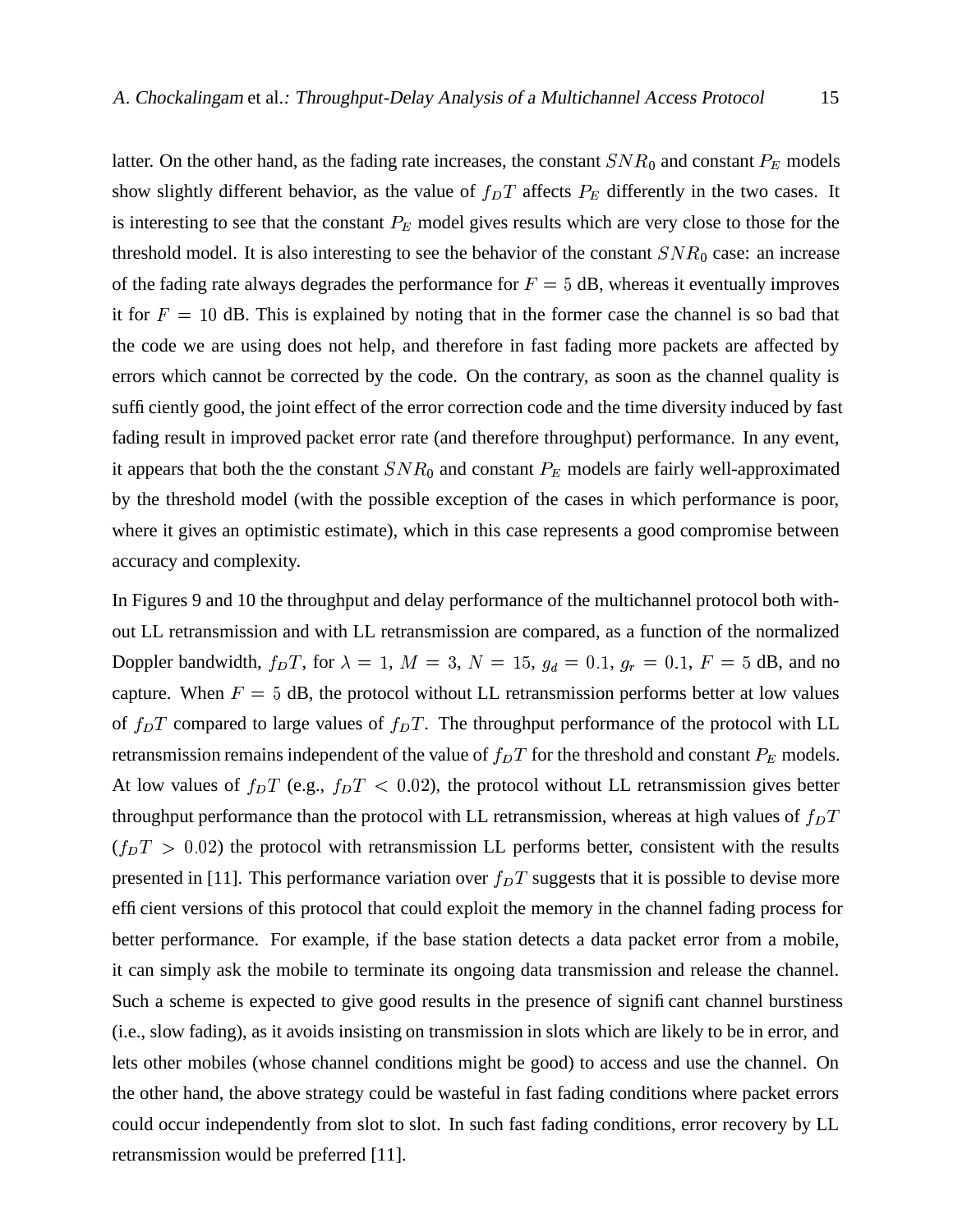latter. On the other hand, as the fading rate increases, the constant  $SNR_0$  and constant  $P_E$  models show slightly different behavior, as the value of  $f_D T$  affects  $P_E$  differently in the two cases. It is interesting to see that the constant  $P_E$  model gives results which are very close to those for the threshold model. It is also interesting to see the behavior of the constant  $SNR_0$  case: an increase of the fading rate always degrades the performance for  $F = 5$  dB, whereas it eventually improves it for  $F = 10$  dB. This is explained by noting that in the former case the channel is so bad that the code we are using does not help, and therefore in fast fading more packets are affected by errors which cannot be corrected by the code. On the contrary, as soon as the channel quality is sufficiently good, the joint effect of the error correction code and the time diversity induced by fast fading result in improved packet error rate (and therefore throughput) performance. In any event, it appears that both the the constant  $SNR_0$  and constant  $P_E$  models are fairly well-approximated by the threshold model (with the possible exception of the cases in which performance is poor, where it gives an optimistic estimate), which in this case represents a good compromise between accuracy and complexity.

In Figures 9 and 10 the throughput and delay performance of the multichannel protocol both without LL retransmission and with LL retransmission are compared, as a function of the normalized Doppler bandwidth,  $f_D T$ , for  $\lambda = 1$ ,  $M = 3$ ,  $N = 15$ ,  $g_d = 0.1$ ,  $g_r = 0.1$ ,  $F = 5$  dB, and no capture. When  $F = 5$  dB, the protocol without LL retransmission performs better at low values of  $f_D T$  compared to large values of  $f_D T$ . The throughput performance of the protocol with LL retransmission remains independent of the value of  $f_D T$  for the threshold and constant  $P_E$  models. At low values of  $f_D T$  (e.g.,  $f_D T < 0.02$ ), the protocol without LL retransmission gives better throughput performance than the protocol with LL retransmission, whereas at high values of  $f_D T$  $(f_D T > 0.02)$  the protocol with retransmission LL performs better, consistent with the results presented in [11]. This performance variation over  $f_D T$  suggests that it is possible to devise more efficient versions of this protocol that could exploit the memory in the channel fading process for better performance. For example, if the base station detects a data packet error from a mobile, it can simply ask the mobile to terminate its ongoing data transmission and release the channel. Such a scheme is expected to give good results in the presence of significant channel burstiness (i.e., slow fading), as it avoids insisting on transmission in slots which are likely to be in error, and lets other mobiles (whose channel conditions might be good) to access and use the channel. On the other hand, the above strategy could be wasteful in fast fading conditions where packet errors could occur independently from slot to slot. In such fast fading conditions, error recovery by LL retransmission would be preferred [11].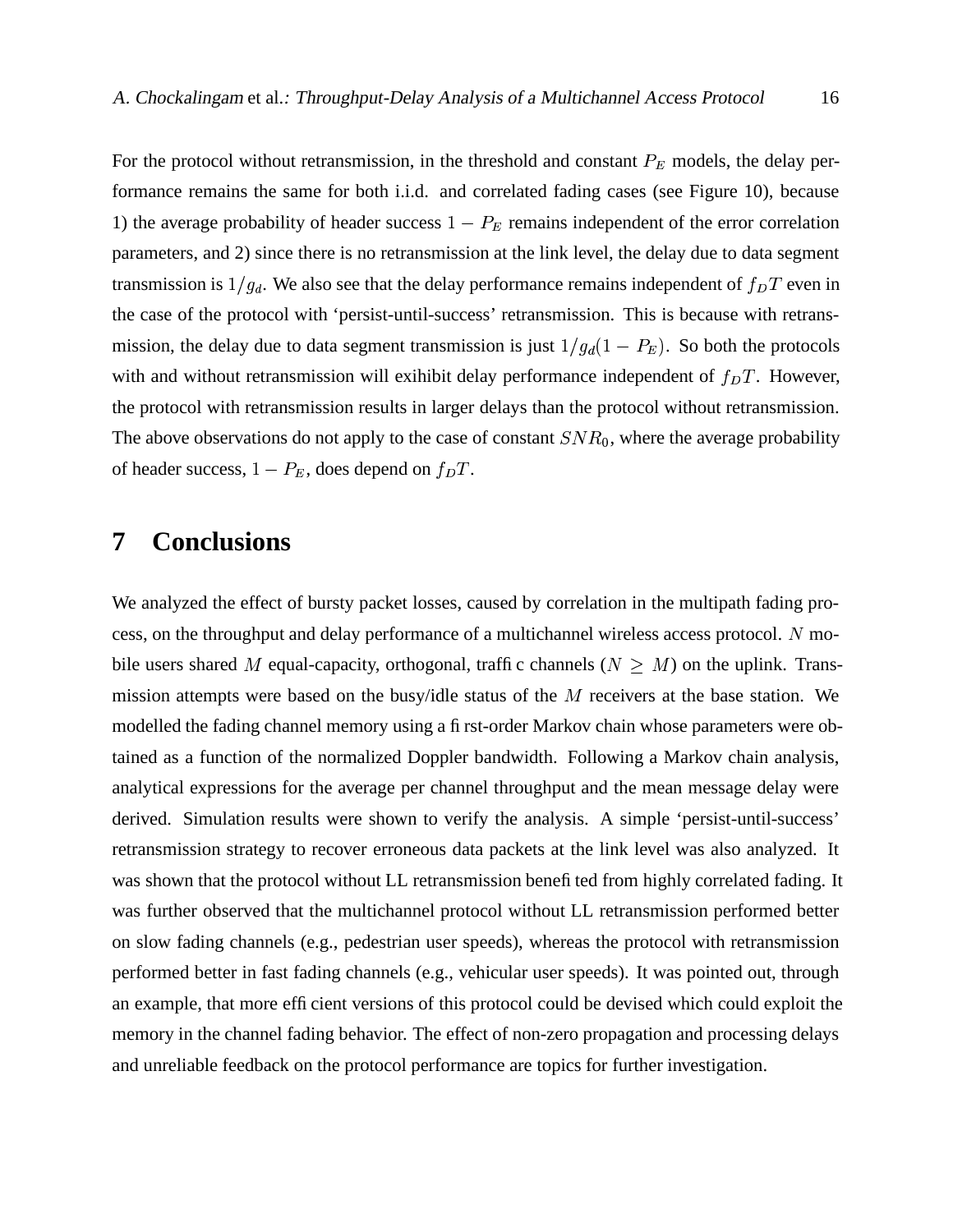For the protocol without retransmission, in the threshold and constant  $P_E$  models, the delay performance remains the same for both i.i.d. and correlated fading cases (see Figure 10), because 1) the average probability of header success  $1 - P_E$  remains independent of the error correlation parameters, and 2) since there is no retransmission at the link level, the delay due to data segment transmission is  $1/g_d$ . We also see that the delay performance remains independent of  $f_D T$  even in the case of the protocol with 'persist-until-success' retransmission. This is because with retransmission, the delay due to data segment transmission is just  $1/g_d(1-P_E)$ . So both the protocols with and without retransmission will exihibit delay performance independent of  $f<sub>D</sub>T$ . However, the protocol with retransmission results in larger delays than the protocol without retransmission. The above observations do not apply to the case of constant  $SNR_0$ , where the average probability of header success,  $1 - P_E$ , does depend on  $f_D T$ .

### **7 Conclusions**

We analyzed the effect of bursty packet losses, caused by correlation in the multipath fading process, on the throughput and delay performance of a multichannel wireless access protocol.  $N$  mobile users shared M equal-capacity, orthogonal, traffic channels ( $N \geq M$ ) on the uplink. Transmission attempts were based on the busy/idle status of the  $M$  receivers at the base station. We modelled the fading channel memory using a first-order Markov chain whose parameters were obtained as a function of the normalized Doppler bandwidth. Following a Markov chain analysis, analytical expressions for the average per channel throughput and the mean message delay were derived. Simulation results were shown to verify the analysis. A simple 'persist-until-success' retransmission strategy to recover erroneous data packets at the link level was also analyzed. It was shown that the protocol without LL retransmission benefited from highly correlated fading. It was further observed that the multichannel protocol without LL retransmission performed better on slow fading channels (e.g., pedestrian user speeds), whereas the protocol with retransmission performed better in fast fading channels (e.g., vehicular user speeds). It was pointed out, through an example, that more efficient versions of this protocol could be devised which could exploit the memory in the channel fading behavior. The effect of non-zero propagation and processing delays and unreliable feedback on the protocol performance are topics for further investigation.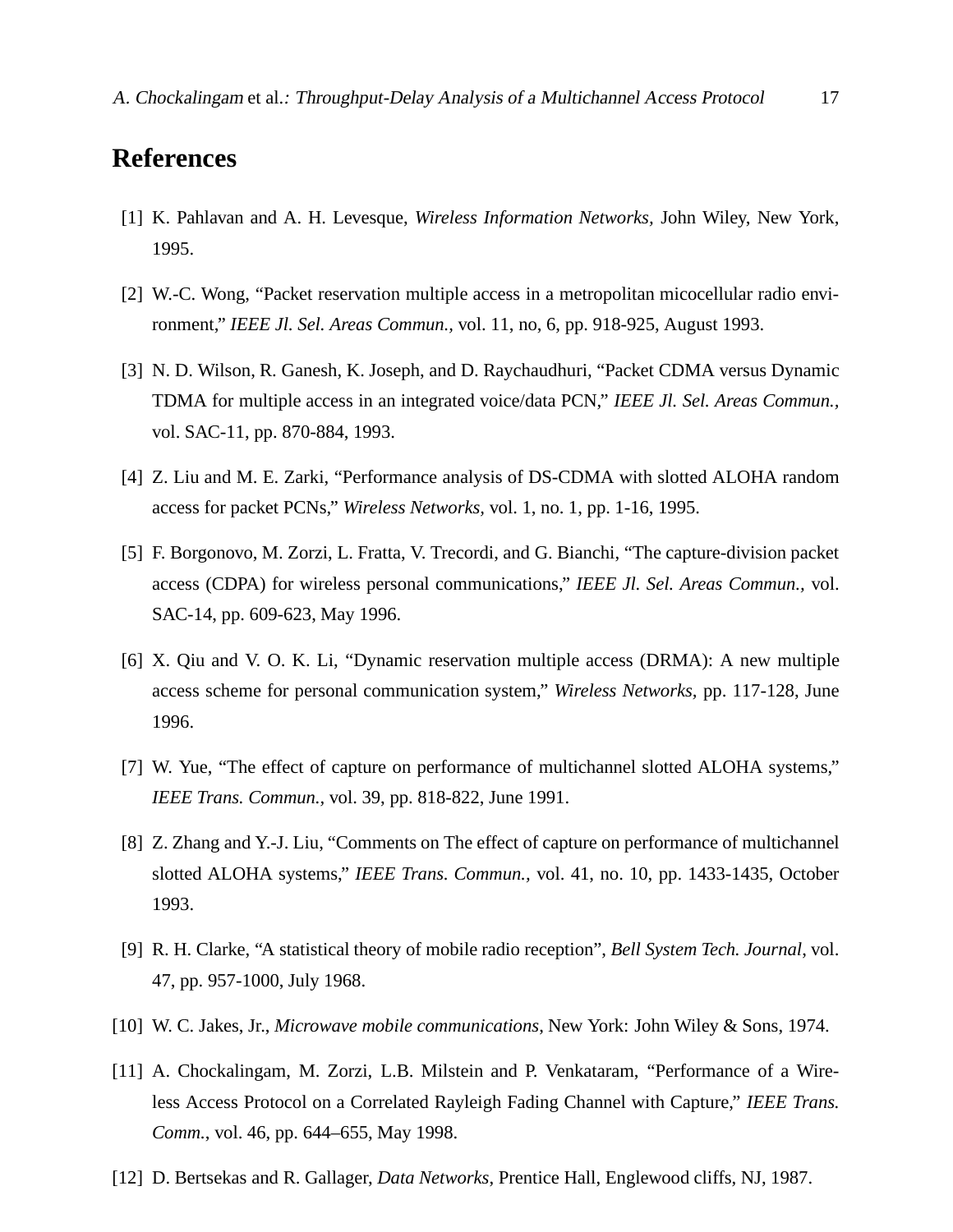# **References**

- [1] K. Pahlavan and A. H. Levesque, *Wireless Information Networks,* John Wiley, New York, 1995.
- [2] W.-C. Wong, "Packet reservation multiple access in a metropolitan micocellular radio environment," *IEEE Jl. Sel. Areas Commun.,* vol. 11, no, 6, pp. 918-925, August 1993.
- [3] N. D. Wilson, R. Ganesh, K. Joseph, and D. Raychaudhuri, "Packet CDMA versus Dynamic TDMA for multiple access in an integrated voice/data PCN," *IEEE Jl. Sel. Areas Commun.,* vol. SAC-11, pp. 870-884, 1993.
- [4] Z. Liu and M. E. Zarki, "Performance analysis of DS-CDMA with slotted ALOHA random access for packet PCNs," *Wireless Networks,* vol. 1, no. 1, pp. 1-16, 1995.
- [5] F. Borgonovo, M. Zorzi, L. Fratta, V. Trecordi, and G. Bianchi, "The capture-division packet access (CDPA) for wireless personal communications," *IEEE Jl. Sel. Areas Commun.,* vol. SAC-14, pp. 609-623, May 1996.
- [6] X. Qiu and V. O. K. Li, "Dynamic reservation multiple access (DRMA): A new multiple access scheme for personal communication system," *Wireless Networks,* pp. 117-128, June 1996.
- [7] W. Yue, "The effect of capture on performance of multichannel slotted ALOHA systems," *IEEE Trans. Commun.,* vol. 39, pp. 818-822, June 1991.
- [8] Z. Zhang and Y.-J. Liu, "Comments on The effect of capture on performance of multichannel slotted ALOHA systems," *IEEE Trans. Commun.,* vol. 41, no. 10, pp. 1433-1435, October 1993.
- [9] R. H. Clarke, "A statistical theory of mobile radio reception", *Bell System Tech. Journal*, vol. 47, pp. 957-1000, July 1968.
- [10] W. C. Jakes, Jr., *Microwave mobile communications*, New York: John Wiley & Sons, 1974.
- [11] A. Chockalingam, M. Zorzi, L.B. Milstein and P. Venkataram, "Performance of a Wireless Access Protocol on a Correlated Rayleigh Fading Channel with Capture," *IEEE Trans. Comm.*, vol. 46, pp. 644–655, May 1998.
- [12] D. Bertsekas and R. Gallager, *Data Networks*, Prentice Hall, Englewood cliffs, NJ, 1987.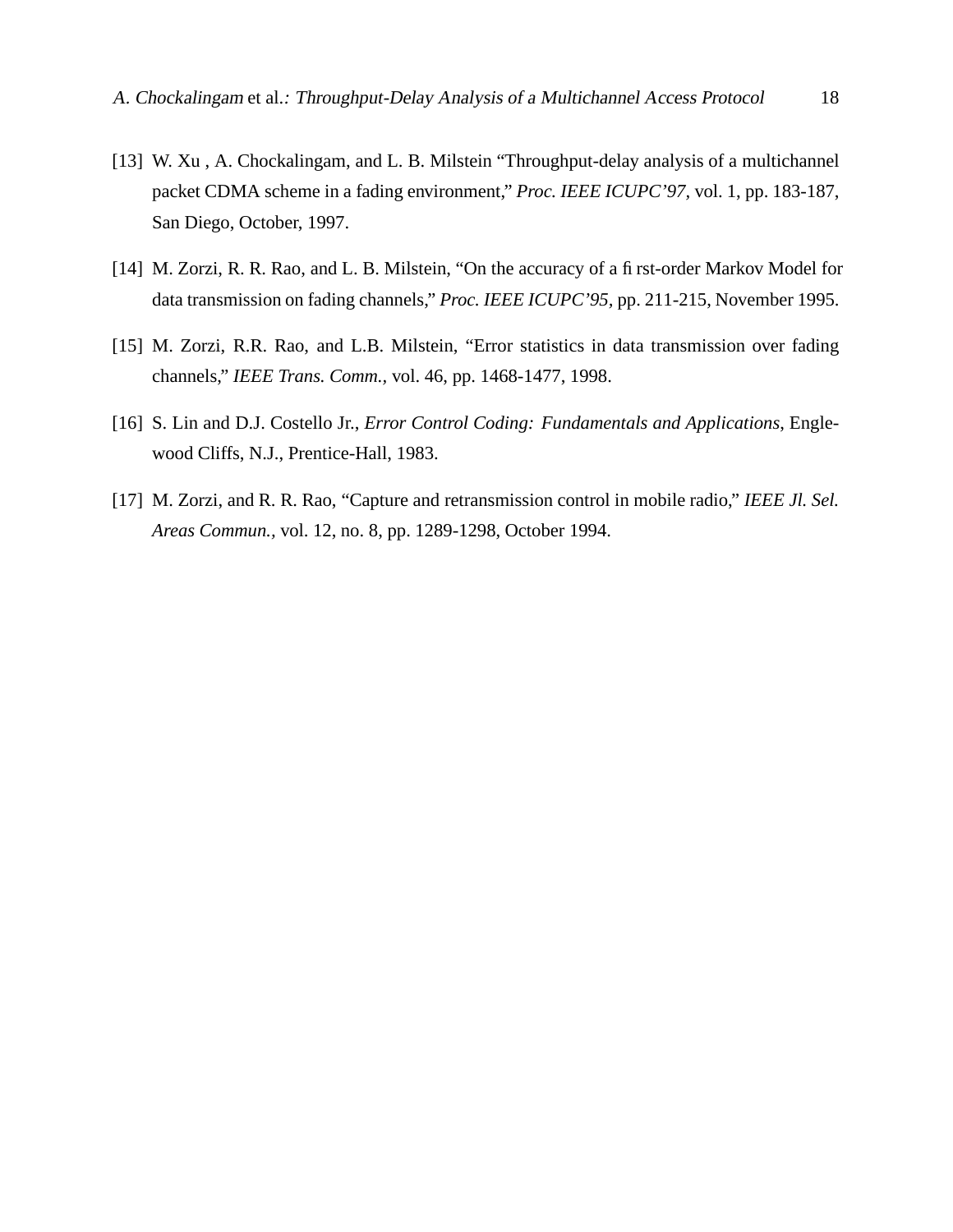- [13] W. Xu, A. Chockalingam, and L. B. Milstein "Throughput-delay analysis of a multichannel packet CDMA scheme in a fading environment," *Proc. IEEE ICUPC'97,* vol. 1, pp. 183-187, San Diego, October, 1997.
- [14] M. Zorzi, R. R. Rao, and L. B. Milstein, "On the accuracy of a first-order Markov Model for data transmission on fading channels," *Proc. IEEE ICUPC'95,* pp. 211-215, November 1995.
- [15] M. Zorzi, R.R. Rao, and L.B. Milstein, "Error statistics in data transmission over fading channels," *IEEE Trans. Comm.,* vol. 46, pp. 1468-1477, 1998.
- [16] S. Lin and D.J. Costello Jr., *Error Control Coding: Fundamentals and Applications*, Englewood Cliffs, N.J., Prentice-Hall, 1983.
- [17] M. Zorzi, and R. R. Rao, "Capture and retransmission control in mobile radio," *IEEE Jl. Sel. Areas Commun.,* vol. 12, no. 8, pp. 1289-1298, October 1994.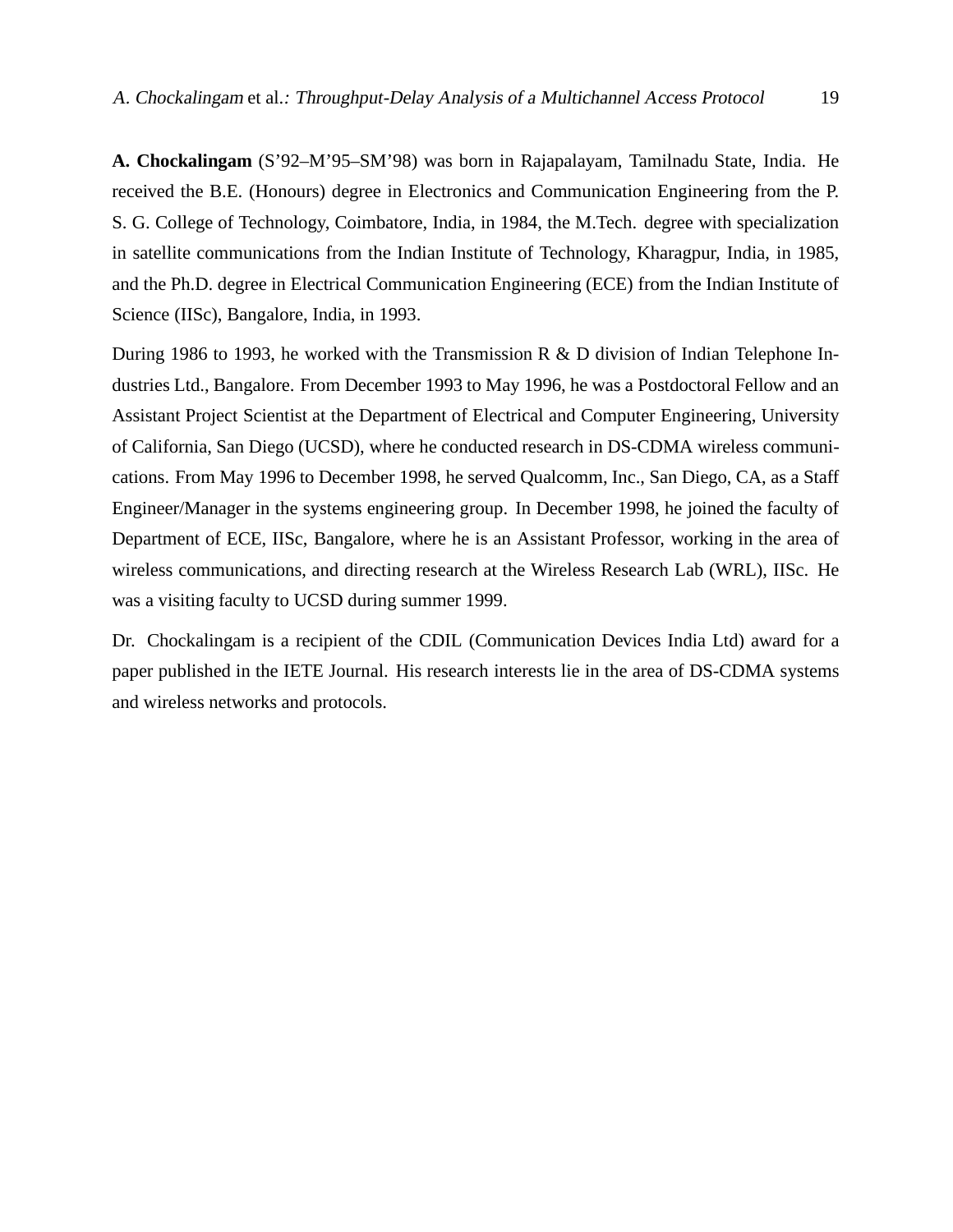**A. Chockalingam** (S'92–M'95–SM'98) was born in Rajapalayam, Tamilnadu State, India. He received the B.E. (Honours) degree in Electronics and Communication Engineering from the P. S. G. College of Technology, Coimbatore, India, in 1984, the M.Tech. degree with specialization in satellite communications from the Indian Institute of Technology, Kharagpur, India, in 1985, and the Ph.D. degree in Electrical Communication Engineering (ECE) from the Indian Institute of Science (IISc), Bangalore, India, in 1993.

During 1986 to 1993, he worked with the Transmission R  $\&$  D division of Indian Telephone Industries Ltd., Bangalore. From December 1993 to May 1996, he was a Postdoctoral Fellow and an Assistant Project Scientist at the Department of Electrical and Computer Engineering, University of California, San Diego (UCSD), where he conducted research in DS-CDMA wireless communications. From May 1996 to December 1998, he served Qualcomm, Inc., San Diego, CA, as a Staff Engineer/Manager in the systems engineering group. In December 1998, he joined the faculty of Department of ECE, IISc, Bangalore, where he is an Assistant Professor, working in the area of wireless communications, and directing research at the Wireless Research Lab (WRL), IISc. He was a visiting faculty to UCSD during summer 1999.

Dr. Chockalingam is a recipient of the CDIL (Communication Devices India Ltd) award for a paper published in the IETE Journal. His research interests lie in the area of DS-CDMA systems and wireless networks and protocols.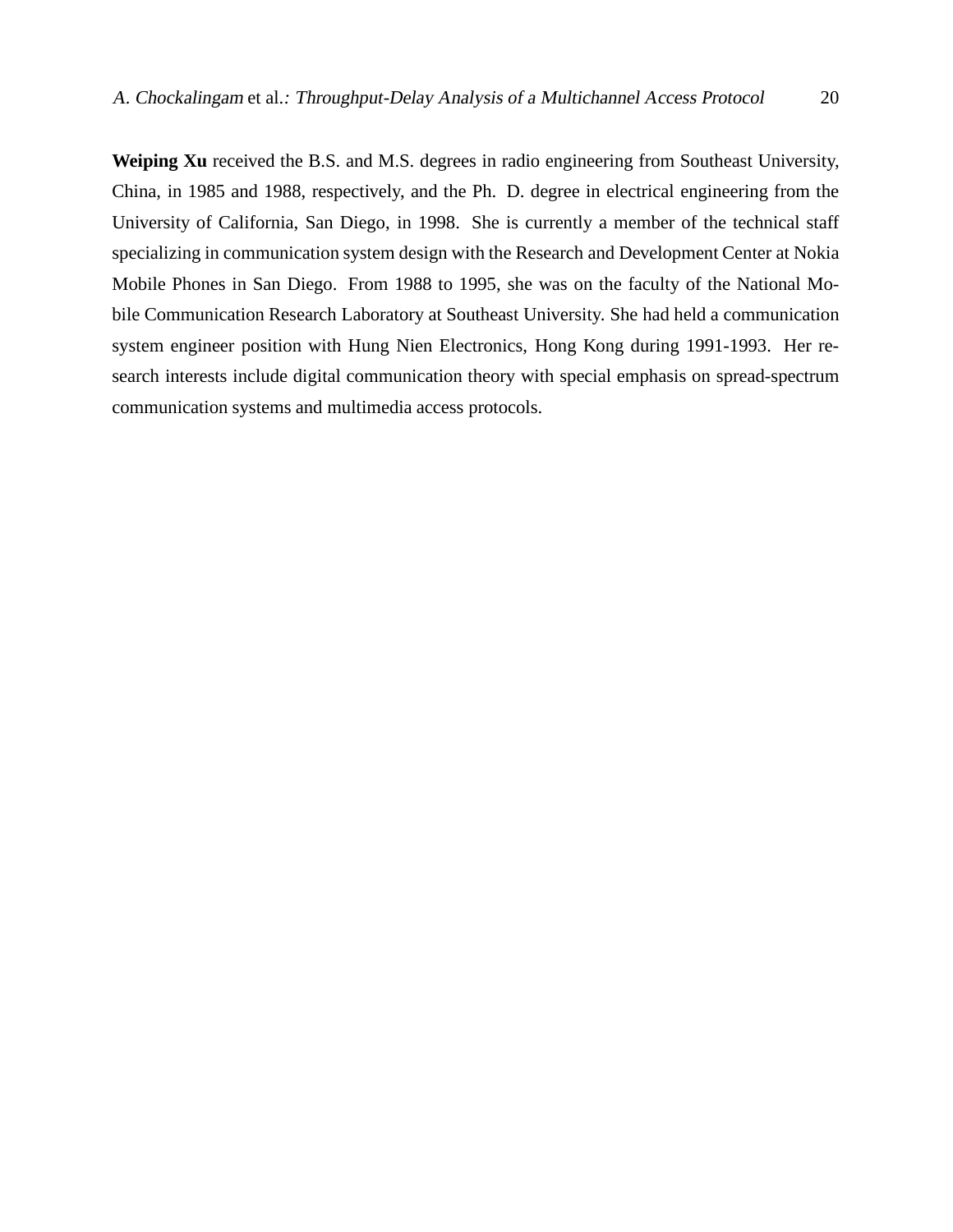**Weiping Xu** received the B.S. and M.S. degrees in radio engineering from Southeast University, China, in 1985 and 1988, respectively, and the Ph. D. degree in electrical engineering from the University of California, San Diego, in 1998. She is currently a member of the technical staff specializing in communication system design with the Research and Development Center at Nokia Mobile Phones in San Diego. From 1988 to 1995, she was on the faculty of the National Mobile Communication Research Laboratory at Southeast University. She had held a communication system engineer position with Hung Nien Electronics, Hong Kong during 1991-1993. Her research interests include digital communication theory with special emphasis on spread-spectrum communication systems and multimedia access protocols.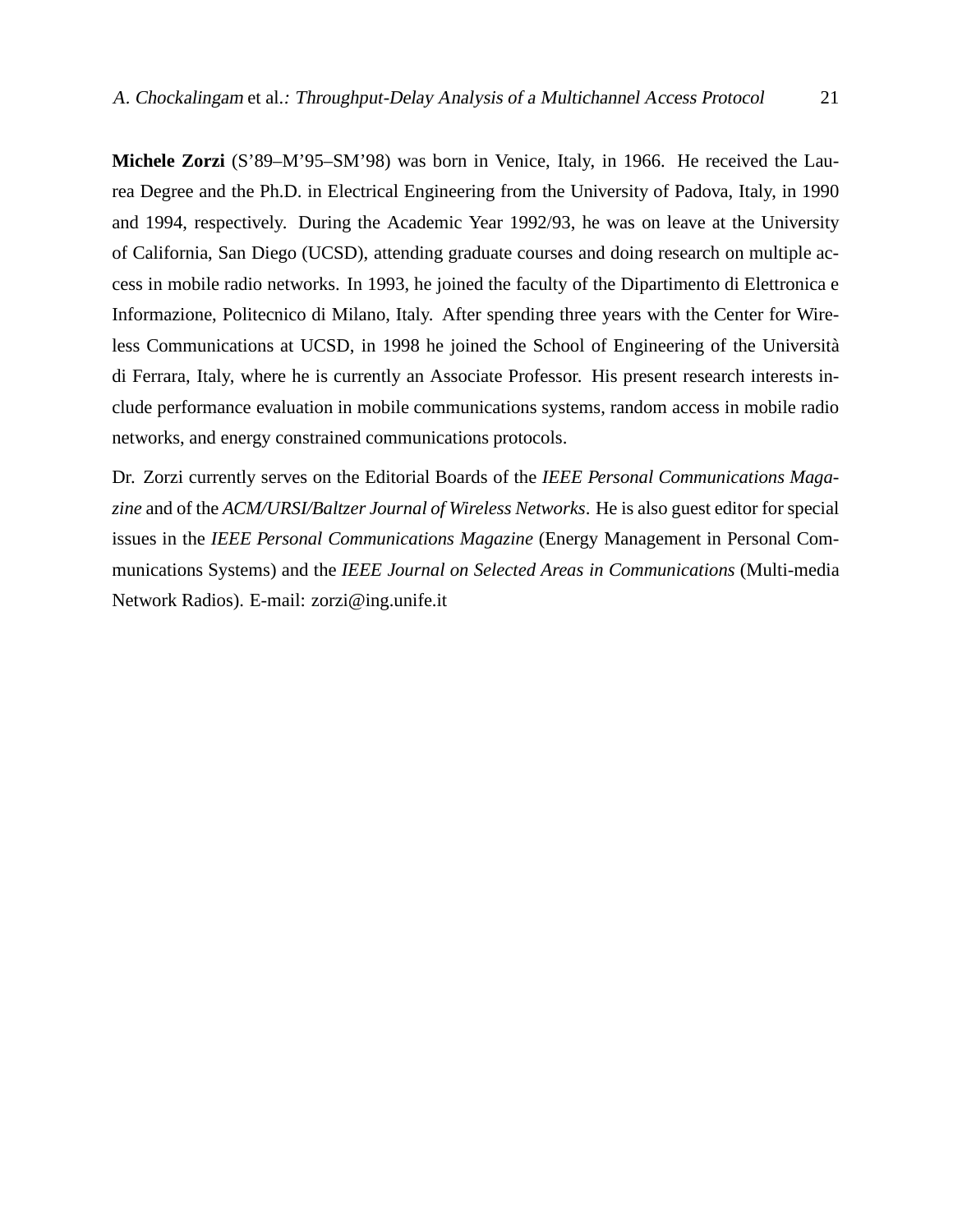**Michele Zorzi** (S'89–M'95–SM'98) was born in Venice, Italy, in 1966. He received the Laurea Degree and the Ph.D. in Electrical Engineering from the University of Padova, Italy, in 1990 and 1994, respectively. During the Academic Year 1992/93, he was on leave at the University of California, San Diego (UCSD), attending graduate courses and doing research on multiple access in mobile radio networks. In 1993, he joined the faculty of the Dipartimento di Elettronica e Informazione, Politecnico di Milano, Italy. After spending three years with the Center for Wireless Communications at UCSD, in 1998 he joined the School of Engineering of the Universita` di Ferrara, Italy, where he is currently an Associate Professor. His present research interests include performance evaluation in mobile communications systems, random access in mobile radio networks, and energy constrained communications protocols.

Dr. Zorzi currently serves on the Editorial Boards of the *IEEE Personal Communications Magazine* and of the *ACM/URSI/Baltzer Journal of Wireless Networks*. He is also guest editor for special issues in the *IEEE Personal Communications Magazine* (Energy Management in Personal Communications Systems) and the *IEEE Journal on Selected Areas in Communications* (Multi-media Network Radios). E-mail: zorzi@ing.unife.it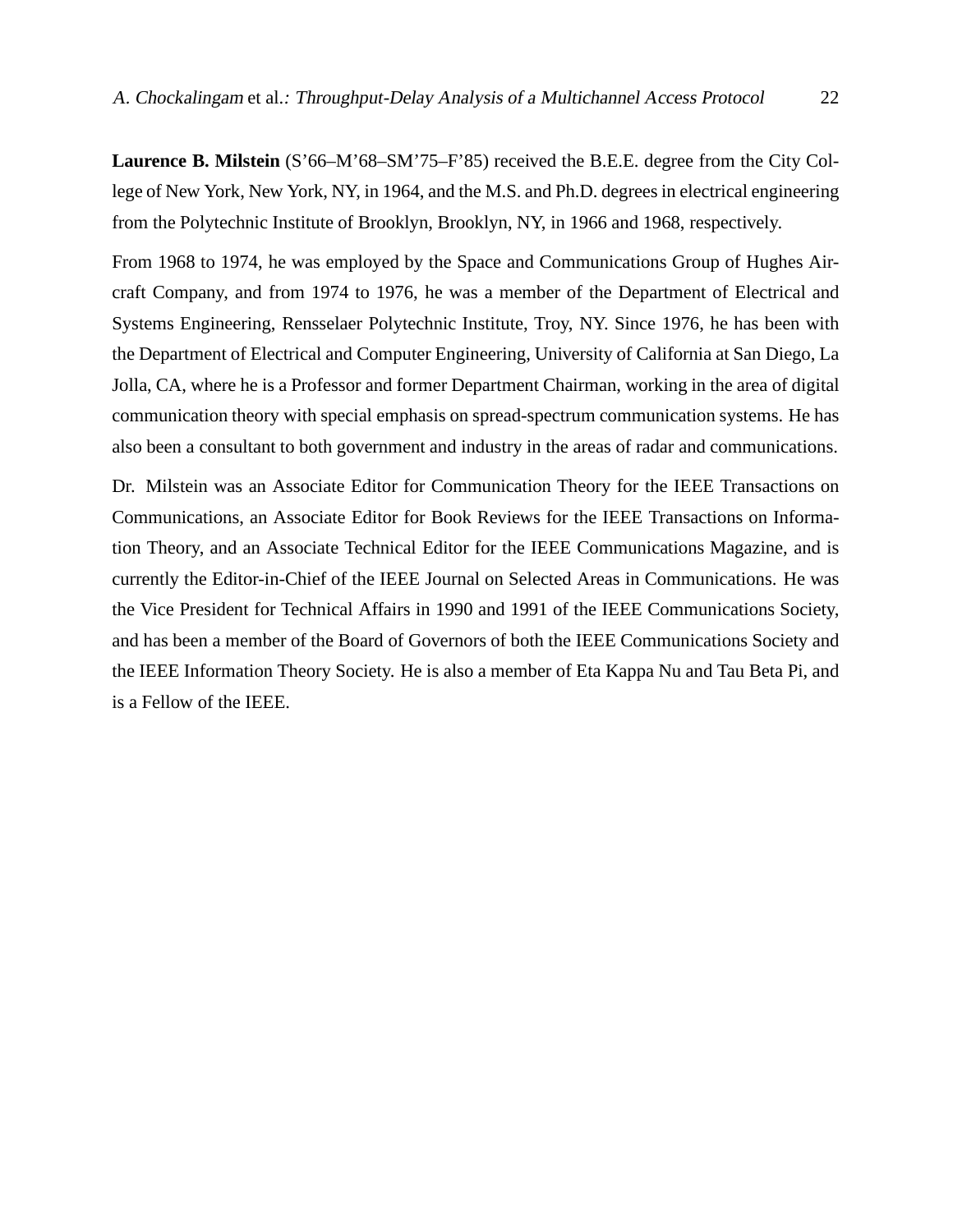**Laurence B. Milstein** (S'66–M'68–SM'75–F'85) received the B.E.E. degree from the City College of New York, New York, NY, in 1964, and the M.S. and Ph.D. degrees in electrical engineering from the Polytechnic Institute of Brooklyn, Brooklyn, NY, in 1966 and 1968, respectively.

From 1968 to 1974, he was employed by the Space and Communications Group of Hughes Aircraft Company, and from 1974 to 1976, he was a member of the Department of Electrical and Systems Engineering, Rensselaer Polytechnic Institute, Troy, NY. Since 1976, he has been with the Department of Electrical and Computer Engineering, University of California at San Diego, La Jolla, CA, where he is a Professor and former Department Chairman, working in the area of digital communication theory with special emphasis on spread-spectrum communication systems. He has also been a consultant to both government and industry in the areas of radar and communications.

Dr. Milstein was an Associate Editor for Communication Theory for the IEEE Transactions on Communications, an Associate Editor for Book Reviews for the IEEE Transactions on Information Theory, and an Associate Technical Editor for the IEEE Communications Magazine, and is currently the Editor-in-Chief of the IEEE Journal on Selected Areas in Communications. He was the Vice President for Technical Affairs in 1990 and 1991 of the IEEE Communications Society, and has been a member of the Board of Governors of both the IEEE Communications Society and the IEEE Information Theory Society. He is also a member of Eta Kappa Nu and Tau Beta Pi, and is a Fellow of the IEEE.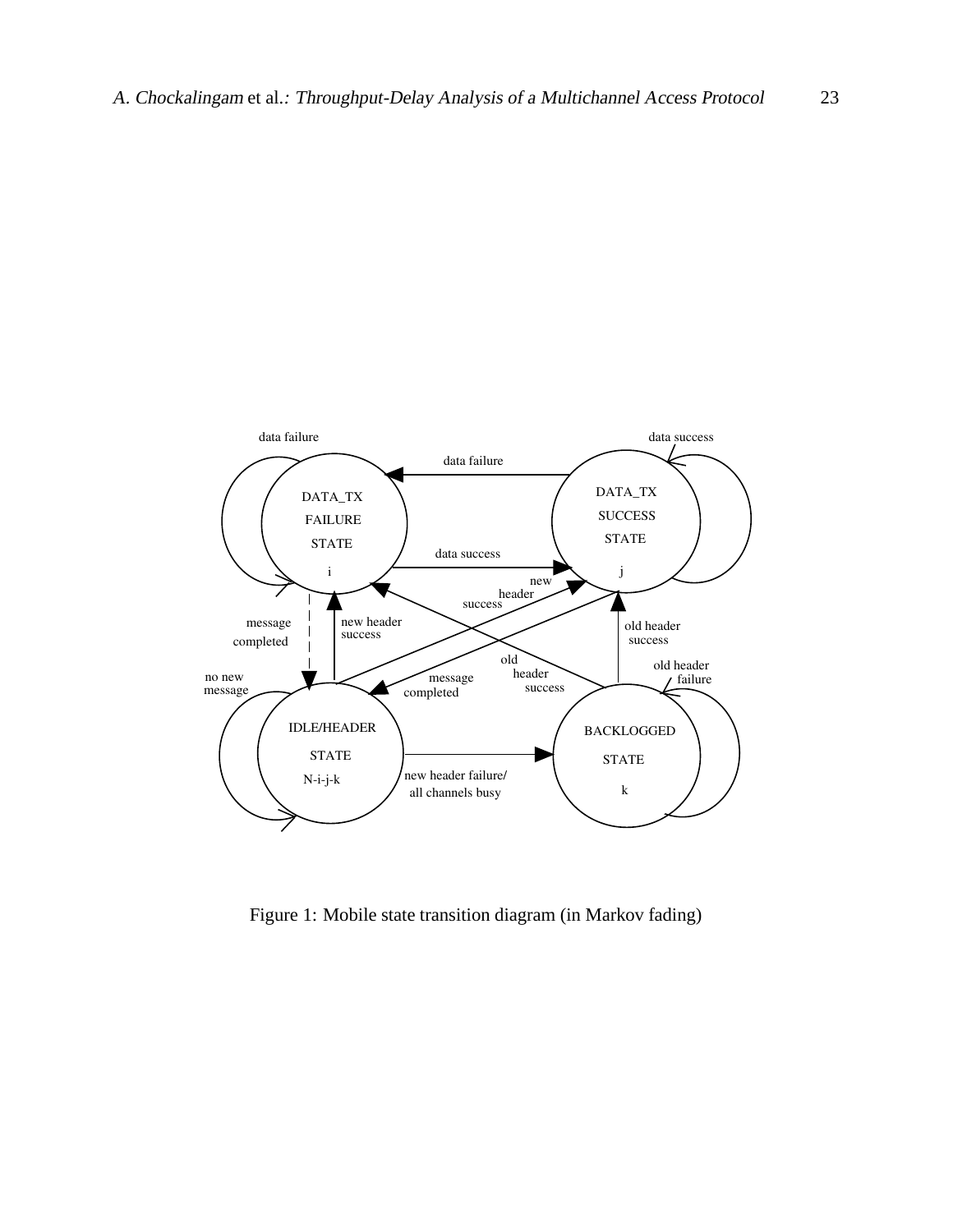

Figure 1: Mobile state transition diagram (in Markov fading)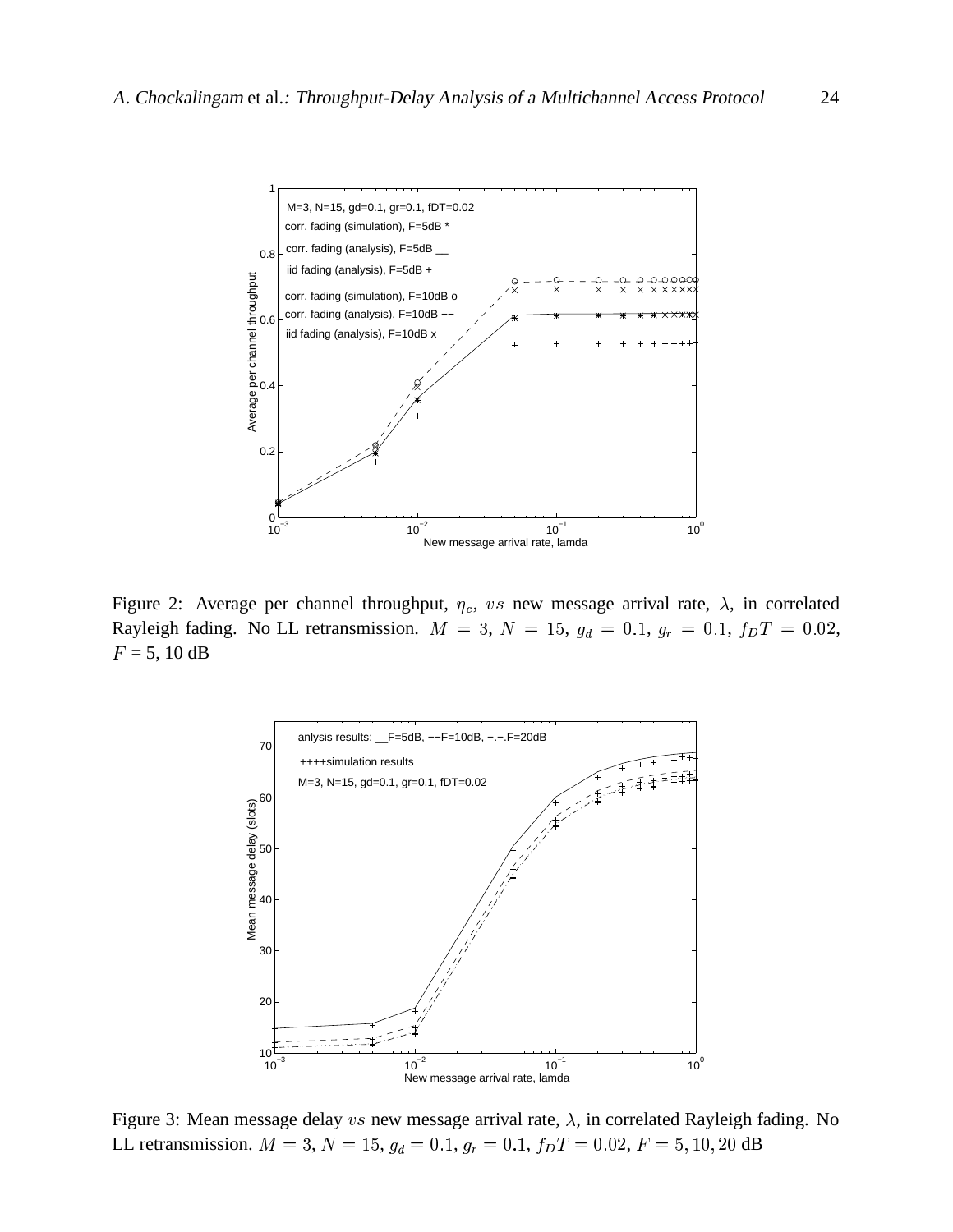

Figure 2: Average per channel throughput,  $\eta_c$ , vs new message arrival rate,  $\lambda$ , in correlated Rayleigh fading. No LL retransmission.  $M = 3$ ,  $N = 15$ ,  $g_d = 0.1$ ,  $g_r = 0.1$ ,  $f_D T = 0.02$ ,  $F = 5$ , 10 dB



Figure 3: Mean message delay vs new message arrival rate,  $\lambda$ , in correlated Rayleigh fading. No LL retransmission.  $M = 3$ ,  $N = 15$ ,  $g_d = 0.1$ ,  $g_r = 0.1$ ,  $f_D T = 0.02$ ,  $F = 5$ , 10, 20 dB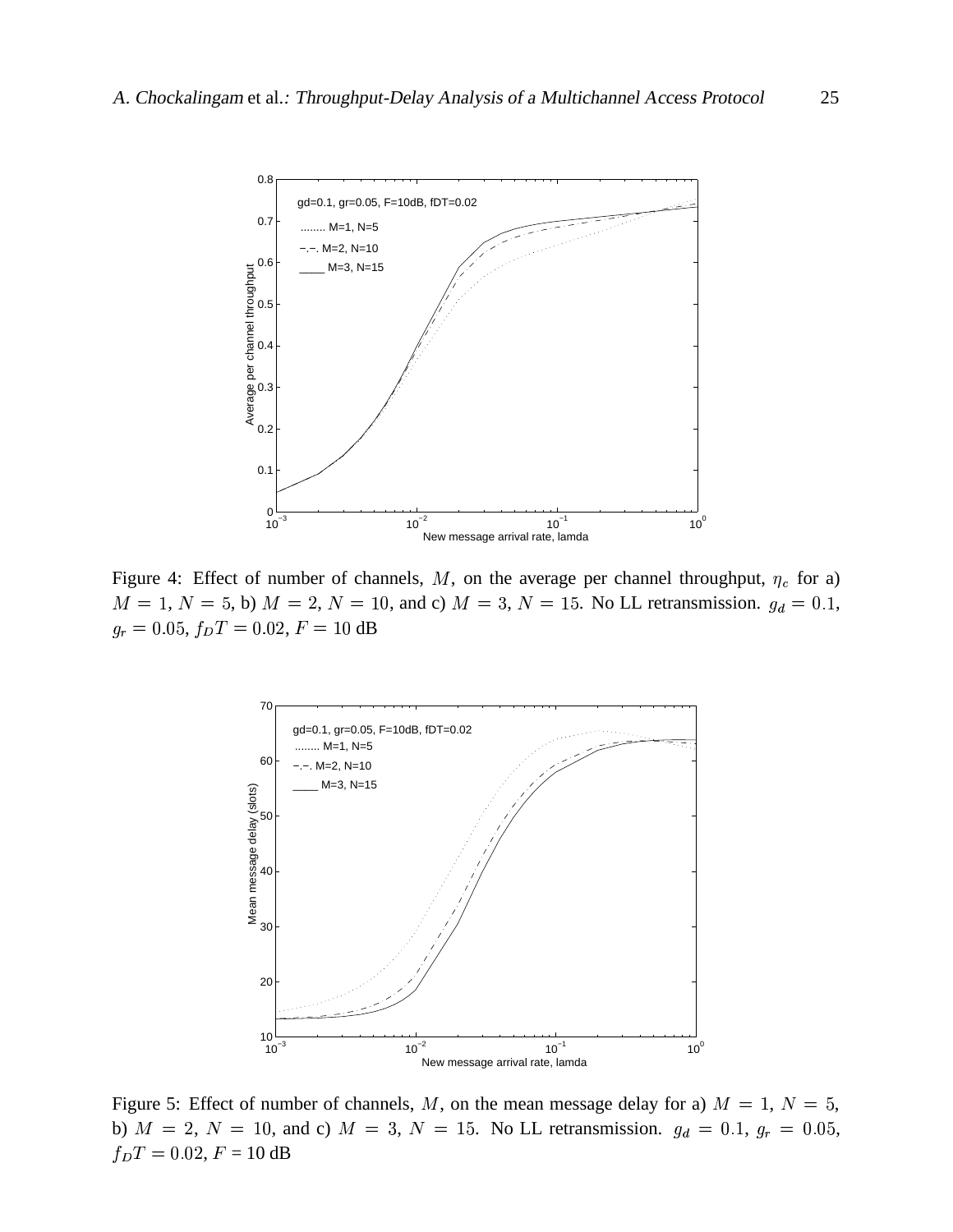

Figure 4: Effect of number of channels, M, on the average per channel throughput,  $\eta_c$  for a)  $M = 1, N = 5, b)$   $M = 2, N = 10,$  and c)  $M = 3, N = 15$ . No LL retransmission.  $g_d = 0.1,$  $g_r = 0.05, f_D T = 0.02, F = 10$  dB



Figure 5: Effect of number of channels, M, on the mean message delay for a)  $M = 1$ ,  $N = 5$ , b)  $M = 2$ ,  $N = 10$ , and c)  $M = 3$ ,  $N = 15$ . No LL retransmission.  $g_d = 0.1$ ,  $g_r = 0.05$ ,  $f_D T = 0.02, F = 10$  dB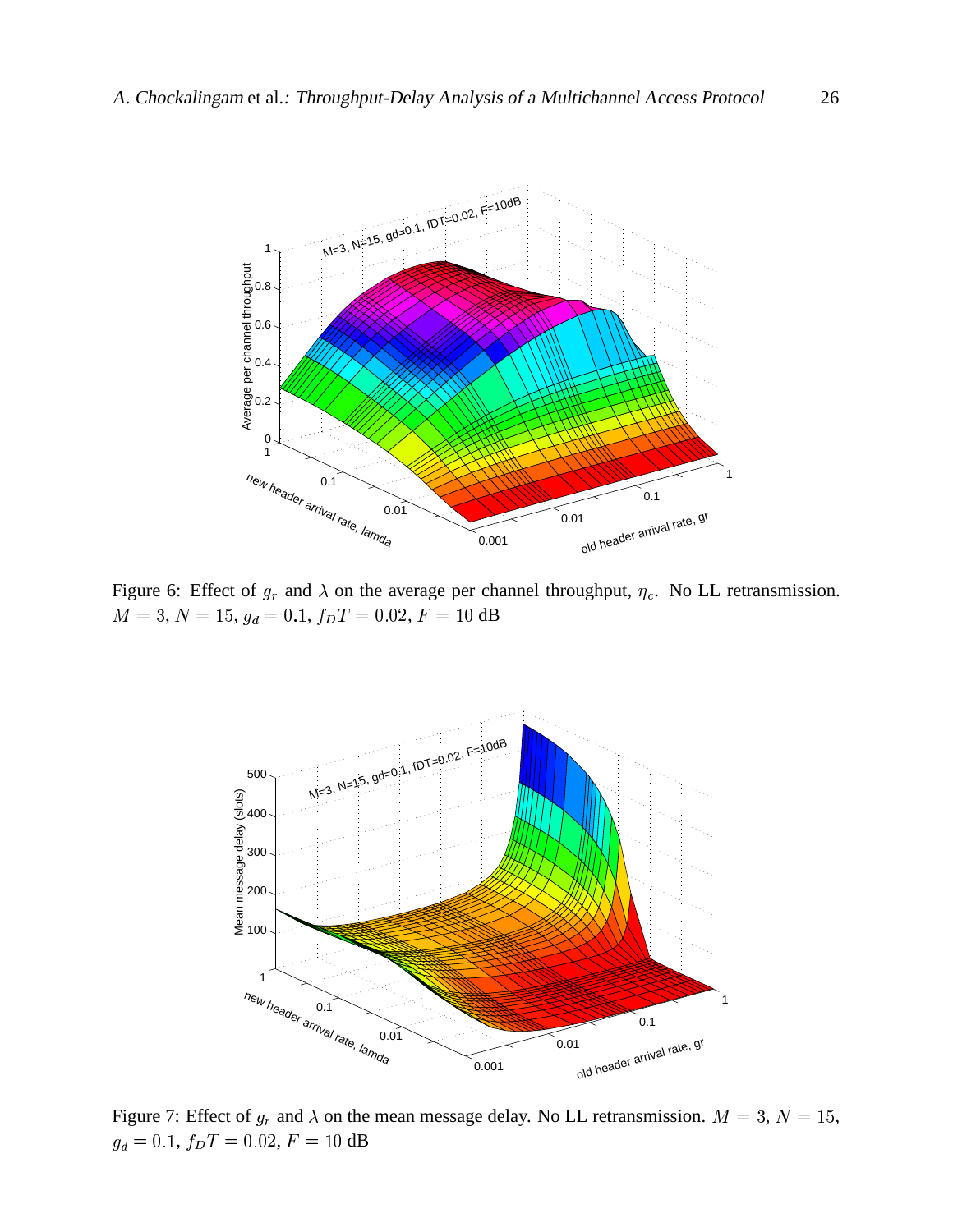

Figure 6: Effect of  $g_r$  and  $\lambda$  on the average per channel throughput,  $\eta_c$ . No LL retransmission.  $M = 3, N = 15, g_d = 0.1, f_D T = 0.02, F = 10$  dB



Figure 7: Effect of  $g_r$  and  $\lambda$  on the mean message delay. No LL retransmission.  $M = 3, N = 15$ ,  $g_d = 0.1, f_D T = 0.02, F = 10$  dB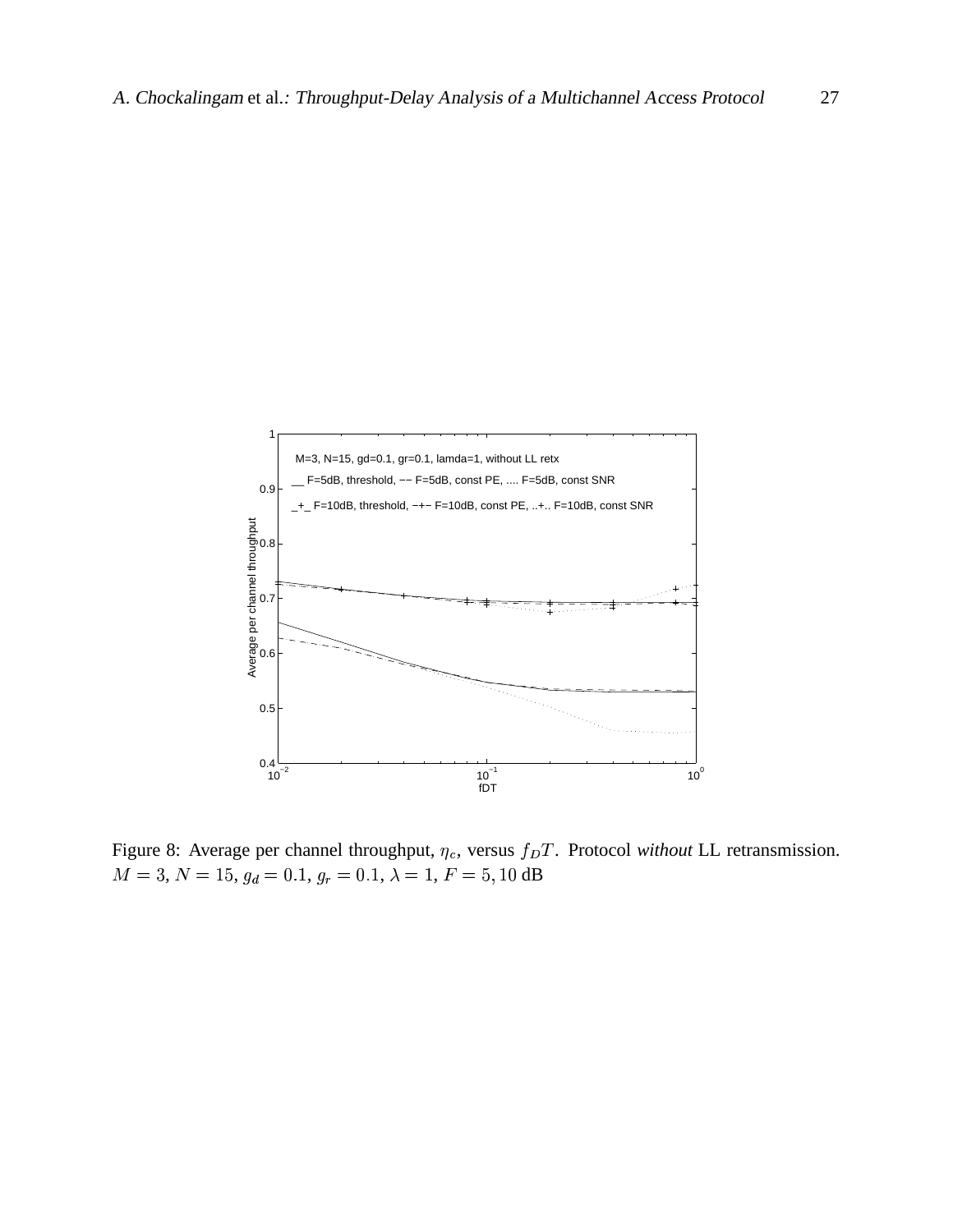

Figure 8: Average per channel throughput,  $\eta_c$ , versus  $f_D T$ . Protocol *without* LL retransmission.  $M = 3, N = 15, g_d = 0.1, g_r = 0.1, \lambda = 1, F = 5, 10$  dB